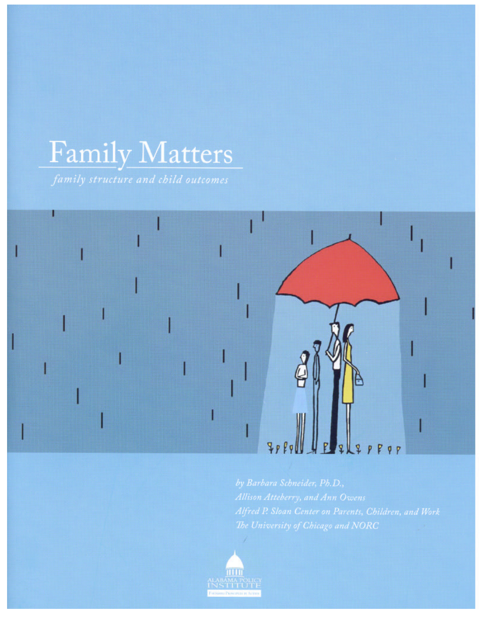# Family Matters



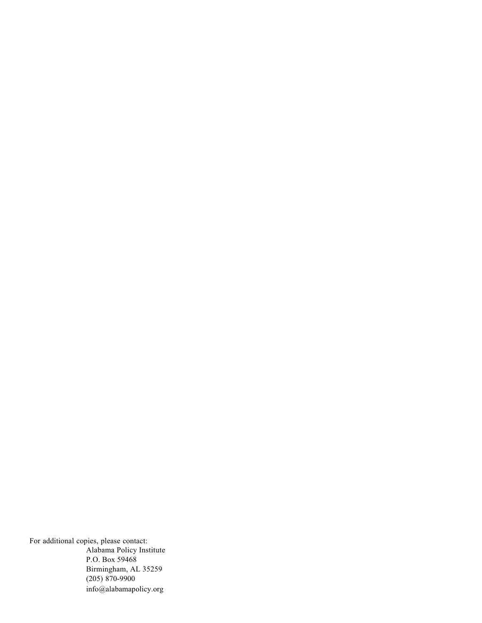For additional copies, please contact: Alabama Policy Institute P.O. Box 59468 Birmingham, AL 35259 (205) 870-9900 info@alabamapolicy.org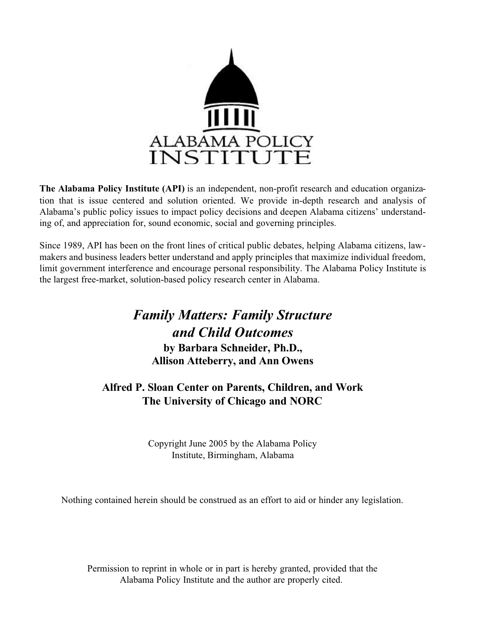

**The Alabama Policy Institute (API)** is an independent, non-profit research and education organization that is issue centered and solution oriented. We provide in-depth research and analysis of Alabama's public policy issues to impact policy decisions and deepen Alabama citizens' understanding of, and appreciation for, sound economic, social and governing principles.

Since 1989, API has been on the front lines of critical public debates, helping Alabama citizens, lawmakers and business leaders better understand and apply principles that maximize individual freedom, limit government interference and encourage personal responsibility. The Alabama Policy Institute is the largest free-market, solution-based policy research center in Alabama.

### *Family Matters: Family Structure and Child Outcomes*

**by Barbara Schneider, Ph.D., Allison Atteberry, and Ann Owens**

### **Alfred P. Sloan Center on Parents, Children, and Work The University of Chicago and NORC**

Copyright June 2005 by the Alabama Policy Institute, Birmingham, Alabama

Nothing contained herein should be construed as an effort to aid or hinder any legislation.

Permission to reprint in whole or in part is hereby granted, provided that the Alabama Policy Institute and the author are properly cited.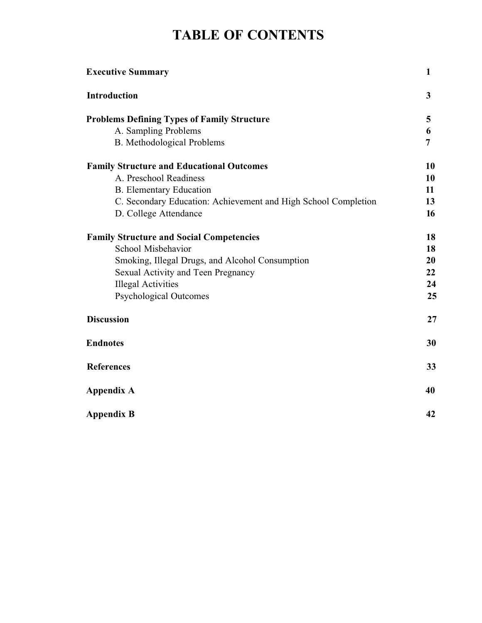## **TABLE OF CONTENTS**

| <b>Executive Summary</b>                                       | 1              |
|----------------------------------------------------------------|----------------|
| <b>Introduction</b>                                            | $\overline{3}$ |
| <b>Problems Defining Types of Family Structure</b>             | 5              |
| A. Sampling Problems                                           | 6              |
| <b>B.</b> Methodological Problems                              | 7              |
| <b>Family Structure and Educational Outcomes</b>               | 10             |
| A. Preschool Readiness                                         | 10             |
| <b>B.</b> Elementary Education                                 | 11             |
| C. Secondary Education: Achievement and High School Completion | 13             |
| D. College Attendance                                          | 16             |
| <b>Family Structure and Social Competencies</b>                | 18             |
| School Misbehavior                                             | 18             |
| Smoking, Illegal Drugs, and Alcohol Consumption                | 20             |
| Sexual Activity and Teen Pregnancy                             | 22             |
| <b>Illegal Activities</b>                                      | 24             |
| <b>Psychological Outcomes</b>                                  | 25             |
| <b>Discussion</b>                                              | 27             |
| <b>Endnotes</b>                                                | 30             |
| <b>References</b>                                              | 33             |
| <b>Appendix A</b>                                              | 40             |
| <b>Appendix B</b>                                              | 42             |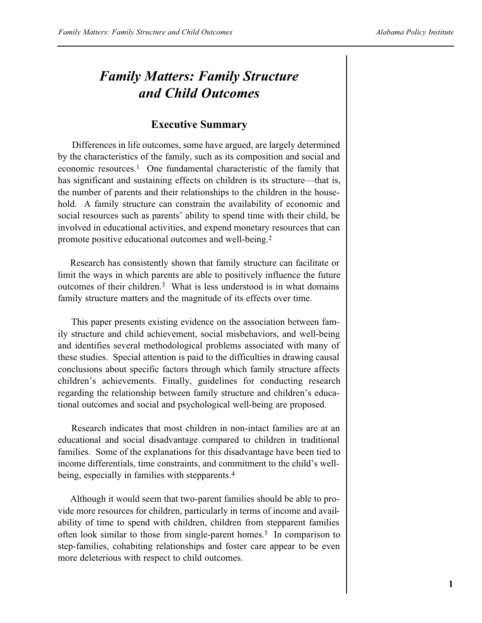### *Family Matters: Family Structure and Child Outcomes*

### **Executive Summary**

Differences in life outcomes, some have argued, are largely determined by the characteristics of the family, such as its composition and social and economic resources.<sup>1</sup> One fundamental characteristic of the family that has significant and sustaining effects on children is its structure—that is, the number of parents and their relationships to the children in the household. A family structure can constrain the availability of economic and social resources such as parents' ability to spend time with their child, be involved in educational activities, and expend monetary resources that can promote positive educational outcomes and well-being.<sup>2</sup>

Research has consistently shown that family structure can facilitate or limit the ways in which parents are able to positively influence the future outcomes of their children.3 What is less understood is in what domains family structure matters and the magnitude of its effects over time.

This paper presents existing evidence on the association between family structure and child achievement, social misbehaviors, and well-being and identifies several methodological problems associated with many of these studies. Special attention is paid to the difficulties in drawing causal conclusions about specific factors through which family structure affects children's achievements. Finally, guidelines for conducting research regarding the relationship between family structure and children's educational outcomes and social and psychological well-being are proposed.

Research indicates that most children in non-intact families are at an educational and social disadvantage compared to children in traditional families. Some of the explanations for this disadvantage have been tied to income differentials, time constraints, and commitment to the child's wellbeing, especially in families with stepparents.4

Although it would seem that two-parent families should be able to provide more resources for children, particularly in terms of income and availability of time to spend with children, children from stepparent families often look similar to those from single-parent homes.<sup>5</sup> In comparison to step-families, cohabiting relationships and foster care appear to be even more deleterious with respect to child outcomes.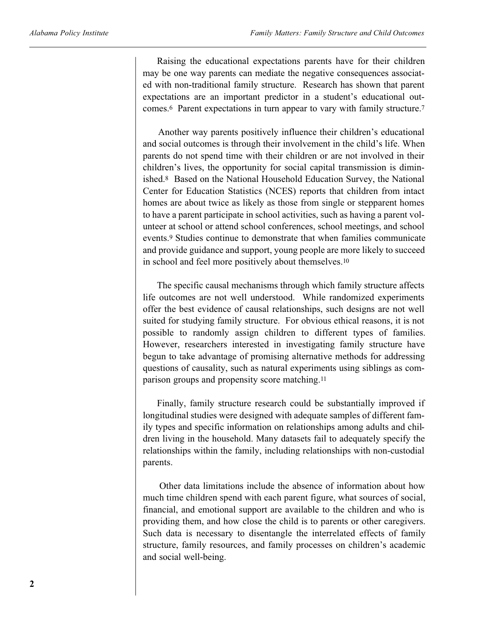Raising the educational expectations parents have for their children may be one way parents can mediate the negative consequences associated with non-traditional family structure. Research has shown that parent expectations are an important predictor in a student's educational outcomes.<sup>6</sup> Parent expectations in turn appear to vary with family structure.<sup>7</sup>

Another way parents positively influence their children's educational and social outcomes is through their involvement in the child's life. When parents do not spend time with their children or are not involved in their children's lives, the opportunity for social capital transmission is diminished.<sup>8</sup> Based on the National Household Education Survey, the National Center for Education Statistics (NCES) reports that children from intact homes are about twice as likely as those from single or stepparent homes to have a parent participate in school activities, such as having a parent volunteer at school or attend school conferences, school meetings, and school events.<sup>9</sup> Studies continue to demonstrate that when families communicate and provide guidance and support, young people are more likely to succeed in school and feel more positively about themselves. 10

The specific causal mechanisms through which family structure affects life outcomes are not well understood. While randomized experiments offer the best evidence of causal relationships, such designs are not well suited for studying family structure. For obvious ethical reasons, it is not possible to randomly assign children to different types of families. However, researchers interested in investigating family structure have begun to take advantage of promising alternative methods for addressing questions of causality, such as natural experiments using siblings as comparison groups and propensity score matching.<sup>11</sup>

Finally, family structure research could be substantially improved if longitudinal studies were designed with adequate samples of different family types and specific information on relationships among adults and children living in the household. Many datasets fail to adequately specify the relationships within the family, including relationships with non-custodial parents.

Other data limitations include the absence of information about how much time children spend with each parent figure, what sources of social, financial, and emotional support are available to the children and who is providing them, and how close the child is to parents or other caregivers. Such data is necessary to disentangle the interrelated effects of family structure, family resources, and family processes on children's academic and social well-being.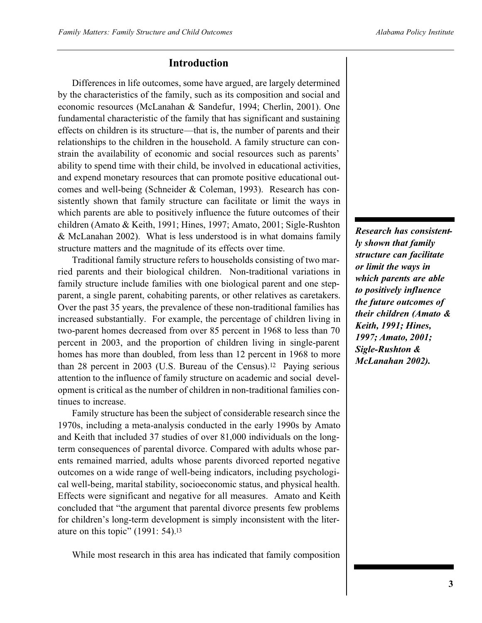### **Introduction**

Differences in life outcomes, some have argued, are largely determined by the characteristics of the family, such as its composition and social and economic resources (McLanahan & Sandefur, 1994; Cherlin, 2001). One fundamental characteristic of the family that has significant and sustaining effects on children is its structure—that is, the number of parents and their relationships to the children in the household. A family structure can constrain the availability of economic and social resources such as parents' ability to spend time with their child, be involved in educational activities, and expend monetary resources that can promote positive educational outcomes and well-being (Schneider & Coleman, 1993). Research has consistently shown that family structure can facilitate or limit the ways in which parents are able to positively influence the future outcomes of their children (Amato & Keith, 1991; Hines, 1997; Amato, 2001; Sigle-Rushton & McLanahan 2002). What is less understood is in what domains family structure matters and the magnitude of its effects over time.

Traditional family structure refers to households consisting of two married parents and their biological children. Non-traditional variations in family structure include families with one biological parent and one stepparent, a single parent, cohabiting parents, or other relatives as caretakers. Over the past 35 years, the prevalence of these non-traditional families has increased substantially. For example, the percentage of children living in two-parent homes decreased from over 85 percent in 1968 to less than 70 percent in 2003, and the proportion of children living in single-parent homes has more than doubled, from less than 12 percent in 1968 to more than 28 percent in 2003 (U.S. Bureau of the Census). <sup>12</sup> Paying serious attention to the influence of family structure on academic and social development is critical as the number of children in non-traditional families continues to increase.

Family structure has been the subject of considerable research since the 1970s, including a meta-analysis conducted in the early 1990s by Amato and Keith that included 37 studies of over 81,000 individuals on the longterm consequences of parental divorce. Compared with adults whose parents remained married, adults whose parents divorced reported negative outcomes on a wide range of well-being indicators, including psychological well-being, marital stability, socioeconomic status, and physical health. Effects were significant and negative for all measures. Amato and Keith concluded that "the argument that parental divorce presents few problems for children's long-term development is simply inconsistent with the literature on this topic" (1991: 54).<sup>13</sup>

While most research in this area has indicated that family composition

*Research has consistently shown that family structure can facilitate or limit the ways in which parents are able to positively influence the future outcomes of their children (Amato & Keith, 1991; Hines, 1997; Amato, 2001; Sigle-Rushton & McLanahan 2002).*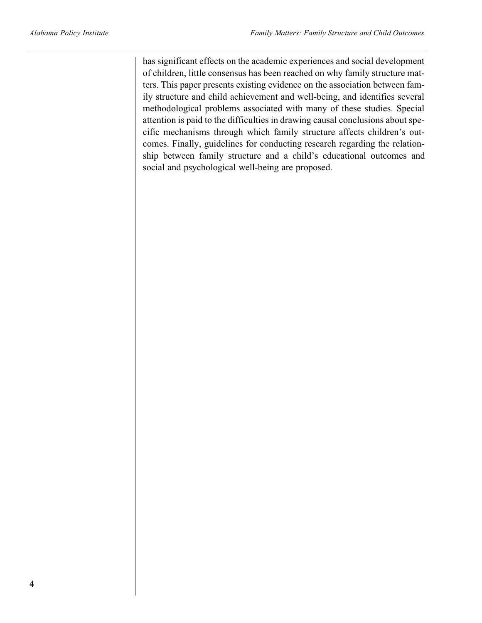has significant effects on the academic experiences and social development of children, little consensus has been reached on why family structure matters. This paper presents existing evidence on the association between family structure and child achievement and well-being, and identifies several methodological problems associated with many of these studies. Special attention is paid to the difficulties in drawing causal conclusions about specific mechanisms through which family structure affects children's outcomes. Finally, guidelines for conducting research regarding the relationship between family structure and a child's educational outcomes and social and psychological well-being are proposed.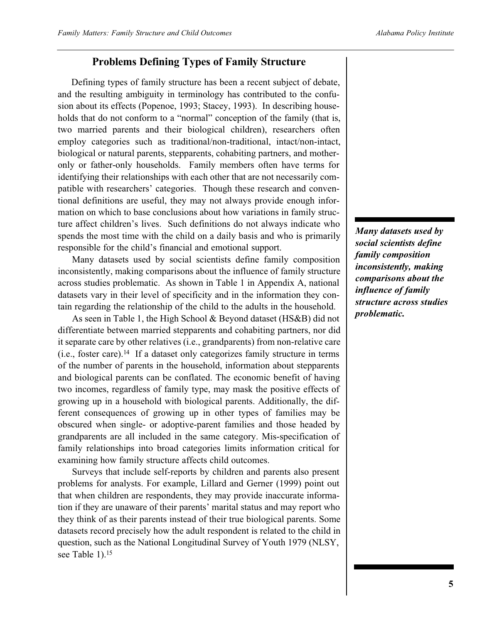### **Problems Defining Types of Family Structure**

Defining types of family structure has been a recent subject of debate, and the resulting ambiguity in terminology has contributed to the confusion about its effects (Popenoe, 1993; Stacey, 1993). In describing households that do not conform to a "normal" conception of the family (that is, two married parents and their biological children), researchers often employ categories such as traditional/non-traditional, intact/non-intact, biological or natural parents, stepparents, cohabiting partners, and motheronly or father-only households. Family members often have terms for identifying their relationships with each other that are not necessarily compatible with researchers' categories. Though these research and conventional definitions are useful, they may not always provide enough information on which to base conclusions about how variations in family structure affect children's lives. Such definitions do not always indicate who spends the most time with the child on a daily basis and who is primarily responsible for the child's financial and emotional support.

Many datasets used by social scientists define family composition inconsistently, making comparisons about the influence of family structure across studies problematic. As shown in Table 1 in Appendix A, national datasets vary in their level of specificity and in the information they contain regarding the relationship of the child to the adults in the household.

As seen in Table 1, the High School & Beyond dataset (HS&B) did not differentiate between married stepparents and cohabiting partners, nor did it separate care by other relatives (i.e., grandparents) from non-relative care (i.e., foster care).<sup>14</sup> If a dataset only categorizes family structure in terms of the number of parents in the household, information about stepparents and biological parents can be conflated. The economic benefit of having two incomes, regardless of family type, may mask the positive effects of growing up in a household with biological parents. Additionally, the different consequences of growing up in other types of families may be obscured when single- or adoptive-parent families and those headed by grandparents are all included in the same category. Mis-specification of family relationships into broad categories limits information critical for examining how family structure affects child outcomes.

Surveys that include self-reports by children and parents also present problems for analysts. For example, Lillard and Gerner (1999) point out that when children are respondents, they may provide inaccurate information if they are unaware of their parents' marital status and may report who they think of as their parents instead of their true biological parents. Some datasets record precisely how the adult respondent is related to the child in question, such as the National Longitudinal Survey of Youth 1979 (NLSY, see Table 1).<sup>15</sup>

*Many datasets used by social scientists define family composition inconsistently, making comparisons about the influence of family structure across studies problematic.*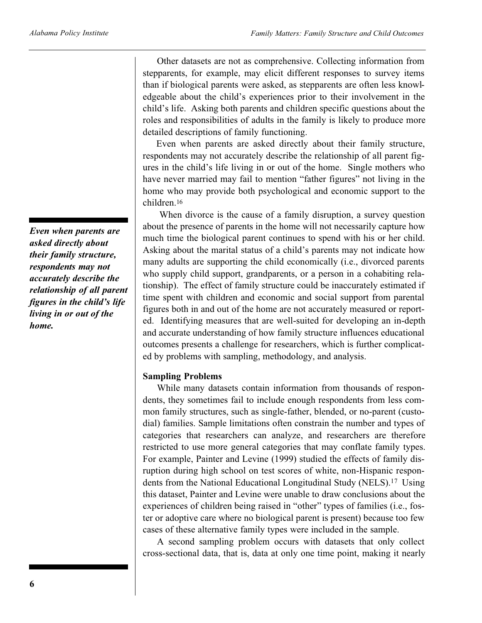*Even when parents are asked directly about their family structure, respondents may not accurately describe the relationship of all parent figures in the child's life living in or out of the home.*

Other datasets are not as comprehensive. Collecting information from stepparents, for example, may elicit different responses to survey items than if biological parents were asked, as stepparents are often less knowledgeable about the child's experiences prior to their involvement in the child's life. Asking both parents and children specific questions about the roles and responsibilities of adults in the family is likely to produce more detailed descriptions of family functioning.

Even when parents are asked directly about their family structure, respondents may not accurately describe the relationship of all parent figures in the child's life living in or out of the home. Single mothers who have never married may fail to mention "father figures" not living in the home who may provide both psychological and economic support to the children.<sup>16</sup>

When divorce is the cause of a family disruption, a survey question about the presence of parents in the home will not necessarily capture how much time the biological parent continues to spend with his or her child. Asking about the marital status of a child's parents may not indicate how many adults are supporting the child economically (i.e., divorced parents who supply child support, grandparents, or a person in a cohabiting relationship). The effect of family structure could be inaccurately estimated if time spent with children and economic and social support from parental figures both in and out of the home are not accurately measured or reported. Identifying measures that are well-suited for developing an in-depth and accurate understanding of how family structure influences educational outcomes presents a challenge for researchers, which is further complicated by problems with sampling, methodology, and analysis.

### **Sampling Problems**

While many datasets contain information from thousands of respondents, they sometimes fail to include enough respondents from less common family structures, such as single-father, blended, or no-parent (custodial) families. Sample limitations often constrain the number and types of categories that researchers can analyze, and researchers are therefore restricted to use more general categories that may conflate family types. For example, Painter and Levine (1999) studied the effects of family disruption during high school on test scores of white, non-Hispanic respondents from the National Educational Longitudinal Study (NELS).<sup>17</sup> Using this dataset, Painter and Levine were unable to draw conclusions about the experiences of children being raised in "other" types of families (i.e., foster or adoptive care where no biological parent is present) because too few cases of these alternative family types were included in the sample.

A second sampling problem occurs with datasets that only collect cross-sectional data, that is, data at only one time point, making it nearly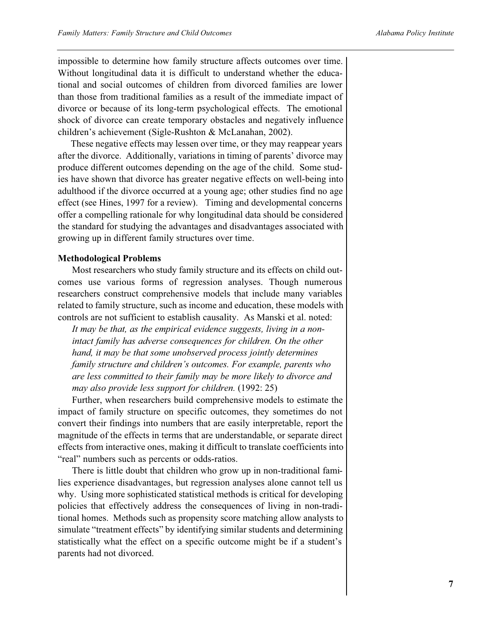impossible to determine how family structure affects outcomes over time. Without longitudinal data it is difficult to understand whether the educational and social outcomes of children from divorced families are lower than those from traditional families as a result of the immediate impact of divorce or because of its long-term psychological effects. The emotional shock of divorce can create temporary obstacles and negatively influence children's achievement (Sigle-Rushton & McLanahan, 2002).

These negative effects may lessen over time, or they may reappear years after the divorce. Additionally, variations in timing of parents' divorce may produce different outcomes depending on the age of the child. Some studies have shown that divorce has greater negative effects on well-being into adulthood if the divorce occurred at a young age; other studies find no age effect (see Hines, 1997 for a review). Timing and developmental concerns offer a compelling rationale for why longitudinal data should be considered the standard for studying the advantages and disadvantages associated with growing up in different family structures over time.

### **Methodological Problems**

Most researchers who study family structure and its effects on child outcomes use various forms of regression analyses. Though numerous researchers construct comprehensive models that include many variables related to family structure, such as income and education, these models with controls are not sufficient to establish causality. As Manski et al. noted:

*It may be that, as the empirical evidence suggests, living in a nonintact family has adverse consequences for children. On the other hand, it may be that some unobserved process jointly determines family structure and children's outcomes. For example, parents who are less committed to their family may be more likely to divorce and may also provide less support for children.* (1992: 25)

Further, when researchers build comprehensive models to estimate the impact of family structure on specific outcomes, they sometimes do not convert their findings into numbers that are easily interpretable, report the magnitude of the effects in terms that are understandable, or separate direct effects from interactive ones, making it difficult to translate coefficients into "real" numbers such as percents or odds-ratios.

There is little doubt that children who grow up in non-traditional families experience disadvantages, but regression analyses alone cannot tell us why. Using more sophisticated statistical methods is critical for developing policies that effectively address the consequences of living in non-traditional homes. Methods such as propensity score matching allow analysts to simulate "treatment effects" by identifying similar students and determining statistically what the effect on a specific outcome might be if a student's parents had not divorced.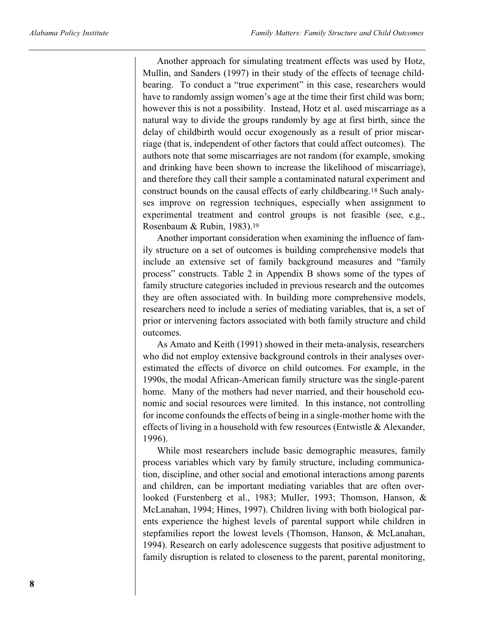Another approach for simulating treatment effects was used by Hotz, Mullin, and Sanders (1997) in their study of the effects of teenage childbearing. To conduct a "true experiment" in this case, researchers would have to randomly assign women's age at the time their first child was born; however this is not a possibility. Instead, Hotz et al. used miscarriage as a natural way to divide the groups randomly by age at first birth, since the delay of childbirth would occur exogenously as a result of prior miscarriage (that is, independent of other factors that could affect outcomes). The authors note that some miscarriages are not random (for example, smoking and drinking have been shown to increase the likelihood of miscarriage), and therefore they call their sample a contaminated natural experiment and construct bounds on the causal effects of early childbearing.<sup>18</sup> Such analyses improve on regression techniques, especially when assignment to experimental treatment and control groups is not feasible (see, e.g., Rosenbaum & Rubin, 1983).<sup>19</sup>

Another important consideration when examining the influence of family structure on a set of outcomes is building comprehensive models that include an extensive set of family background measures and "family process" constructs. Table 2 in Appendix B shows some of the types of family structure categories included in previous research and the outcomes they are often associated with. In building more comprehensive models, researchers need to include a series of mediating variables, that is, a set of prior or intervening factors associated with both family structure and child outcomes.

As Amato and Keith (1991) showed in their meta-analysis, researchers who did not employ extensive background controls in their analyses overestimated the effects of divorce on child outcomes. For example, in the 1990s, the modal African-American family structure was the single-parent home. Many of the mothers had never married, and their household economic and social resources were limited. In this instance, not controlling for income confounds the effects of being in a single-mother home with the effects of living in a household with few resources (Entwistle & Alexander, 1996).

While most researchers include basic demographic measures, family process variables which vary by family structure, including communication, discipline, and other social and emotional interactions among parents and children, can be important mediating variables that are often overlooked (Furstenberg et al., 1983; Muller, 1993; Thomson, Hanson, & McLanahan, 1994; Hines, 1997). Children living with both biological parents experience the highest levels of parental support while children in stepfamilies report the lowest levels (Thomson, Hanson, & McLanahan, 1994). Research on early adolescence suggests that positive adjustment to family disruption is related to closeness to the parent, parental monitoring,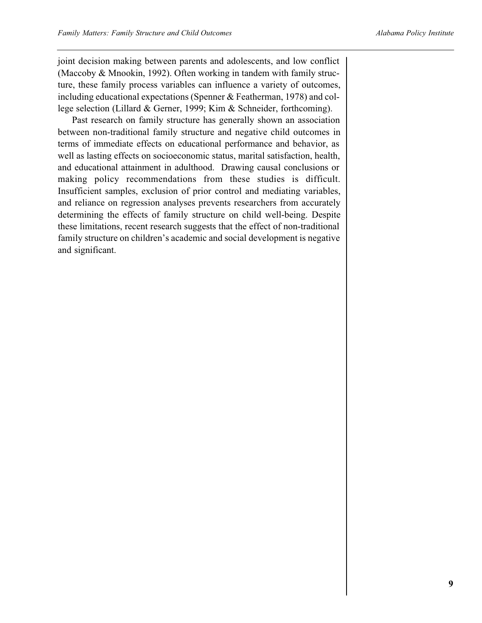joint decision making between parents and adolescents, and low conflict (Maccoby & Mnookin, 1992). Often working in tandem with family structure, these family process variables can influence a variety of outcomes, including educational expectations (Spenner & Featherman, 1978) and college selection (Lillard & Gerner, 1999; Kim & Schneider, forthcoming).

Past research on family structure has generally shown an association between non-traditional family structure and negative child outcomes in terms of immediate effects on educational performance and behavior, as well as lasting effects on socioeconomic status, marital satisfaction, health, and educational attainment in adulthood. Drawing causal conclusions or making policy recommendations from these studies is difficult. Insufficient samples, exclusion of prior control and mediating variables, and reliance on regression analyses prevents researchers from accurately determining the effects of family structure on child well-being. Despite these limitations, recent research suggests that the effect of non-traditional family structure on children's academic and social development is negative and significant.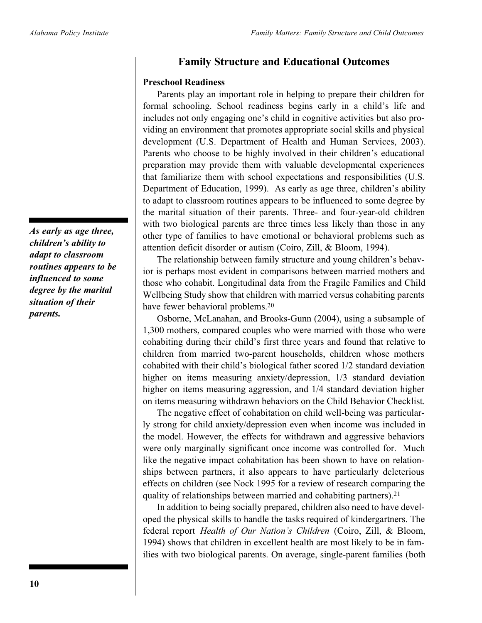### **Family Structure and Educational Outcomes**

### **Preschool Readiness**

Parents play an important role in helping to prepare their children for formal schooling. School readiness begins early in a child's life and includes not only engaging one's child in cognitive activities but also providing an environment that promotes appropriate social skills and physical development (U.S. Department of Health and Human Services, 2003). Parents who choose to be highly involved in their children's educational preparation may provide them with valuable developmental experiences that familiarize them with school expectations and responsibilities (U.S. Department of Education, 1999). As early as age three, children's ability to adapt to classroom routines appears to be influenced to some degree by the marital situation of their parents. Three- and four-year-old children with two biological parents are three times less likely than those in any other type of families to have emotional or behavioral problems such as attention deficit disorder or autism (Coiro, Zill, & Bloom, 1994).

The relationship between family structure and young children's behavior is perhaps most evident in comparisons between married mothers and those who cohabit. Longitudinal data from the Fragile Families and Child Wellbeing Study show that children with married versus cohabiting parents have fewer behavioral problems.<sup>20</sup>

Osborne, McLanahan, and Brooks-Gunn (2004), using a subsample of 1,300 mothers, compared couples who were married with those who were cohabiting during their child's first three years and found that relative to children from married two-parent households, children whose mothers cohabited with their child's biological father scored 1/2 standard deviation higher on items measuring anxiety/depression, 1/3 standard deviation higher on items measuring aggression, and 1/4 standard deviation higher on items measuring withdrawn behaviors on the Child Behavior Checklist.

The negative effect of cohabitation on child well-being was particularly strong for child anxiety/depression even when income was included in the model. However, the effects for withdrawn and aggressive behaviors were only marginally significant once income was controlled for. Much like the negative impact cohabitation has been shown to have on relationships between partners, it also appears to have particularly deleterious effects on children (see Nock 1995 for a review of research comparing the quality of relationships between married and cohabiting partners).<sup>21</sup>

In addition to being socially prepared, children also need to have developed the physical skills to handle the tasks required of kindergartners. The federal report *Health of Our Nation's Children* (Coiro, Zill, & Bloom, 1994) shows that children in excellent health are most likely to be in families with two biological parents. On average, single-parent families (both

*As early as age three, children's ability to adapt to classroom routines appears to be influenced to some degree by the marital situation of their parents.*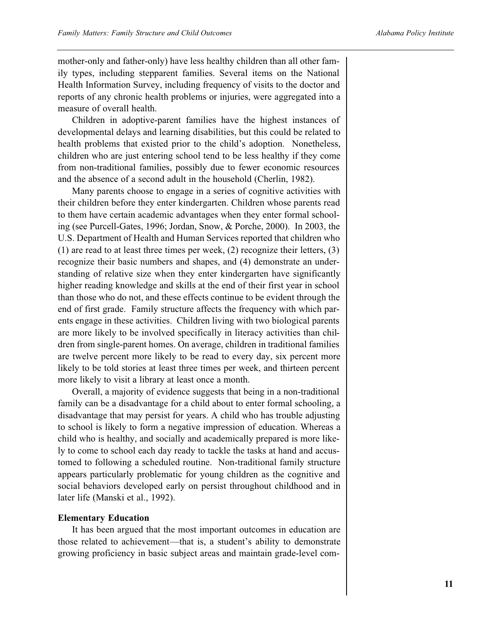mother-only and father-only) have less healthy children than all other family types, including stepparent families. Several items on the National Health Information Survey, including frequency of visits to the doctor and reports of any chronic health problems or injuries, were aggregated into a measure of overall health.

Children in adoptive-parent families have the highest instances of developmental delays and learning disabilities, but this could be related to health problems that existed prior to the child's adoption. Nonetheless, children who are just entering school tend to be less healthy if they come from non-traditional families, possibly due to fewer economic resources and the absence of a second adult in the household (Cherlin, 1982).

Many parents choose to engage in a series of cognitive activities with their children before they enter kindergarten. Children whose parents read to them have certain academic advantages when they enter formal schooling (see Purcell-Gates, 1996; Jordan, Snow, & Porche, 2000). In 2003, the U.S. Department of Health and Human Services reported that children who (1) are read to at least three times per week, (2) recognize their letters, (3) recognize their basic numbers and shapes, and (4) demonstrate an understanding of relative size when they enter kindergarten have significantly higher reading knowledge and skills at the end of their first year in school than those who do not, and these effects continue to be evident through the end of first grade. Family structure affects the frequency with which parents engage in these activities. Children living with two biological parents are more likely to be involved specifically in literacy activities than children from single-parent homes. On average, children in traditional families are twelve percent more likely to be read to every day, six percent more likely to be told stories at least three times per week, and thirteen percent more likely to visit a library at least once a month.

Overall, a majority of evidence suggests that being in a non-traditional family can be a disadvantage for a child about to enter formal schooling, a disadvantage that may persist for years. A child who has trouble adjusting to school is likely to form a negative impression of education. Whereas a child who is healthy, and socially and academically prepared is more likely to come to school each day ready to tackle the tasks at hand and accustomed to following a scheduled routine. Non-traditional family structure appears particularly problematic for young children as the cognitive and social behaviors developed early on persist throughout childhood and in later life (Manski et al., 1992).

### **Elementary Education**

It has been argued that the most important outcomes in education are those related to achievement—that is, a student's ability to demonstrate growing proficiency in basic subject areas and maintain grade-level com-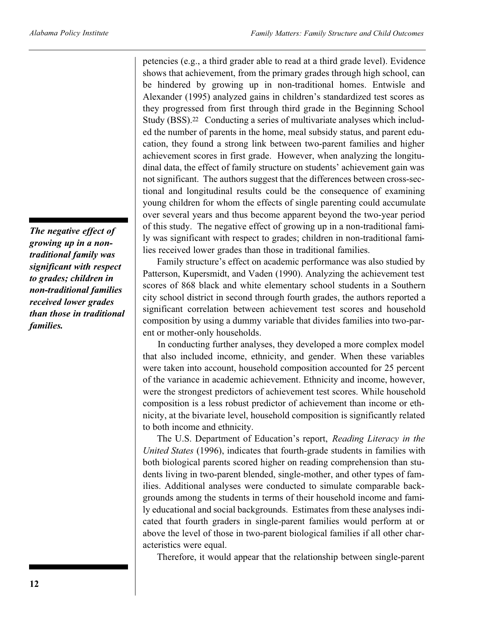*The negative effect of growing up in a nontraditional family was significant with respect to grades; children in non-traditional families received lower grades than those in traditional families.*

petencies (e.g., a third grader able to read at a third grade level). Evidence shows that achievement, from the primary grades through high school, can be hindered by growing up in non-traditional homes. Entwisle and Alexander (1995) analyzed gains in children's standardized test scores as they progressed from first through third grade in the Beginning School Study (BSS).<sup>22</sup> Conducting a series of multivariate analyses which included the number of parents in the home, meal subsidy status, and parent education, they found a strong link between two-parent families and higher achievement scores in first grade. However, when analyzing the longitudinal data, the effect of family structure on students' achievement gain was not significant. The authors suggest that the differences between cross-sectional and longitudinal results could be the consequence of examining young children for whom the effects of single parenting could accumulate over several years and thus become apparent beyond the two-year period of this study. The negative effect of growing up in a non-traditional family was significant with respect to grades; children in non-traditional families received lower grades than those in traditional families.

Family structure's effect on academic performance was also studied by Patterson, Kupersmidt, and Vaden (1990). Analyzing the achievement test scores of 868 black and white elementary school students in a Southern city school district in second through fourth grades, the authors reported a significant correlation between achievement test scores and household composition by using a dummy variable that divides families into two-parent or mother-only households.

In conducting further analyses, they developed a more complex model that also included income, ethnicity, and gender. When these variables were taken into account, household composition accounted for 25 percent of the variance in academic achievement. Ethnicity and income, however, were the strongest predictors of achievement test scores. While household composition is a less robust predictor of achievement than income or ethnicity, at the bivariate level, household composition is significantly related to both income and ethnicity.

The U.S. Department of Education's report, *Reading Literacy in the United States* (1996), indicates that fourth-grade students in families with both biological parents scored higher on reading comprehension than students living in two-parent blended, single-mother, and other types of families. Additional analyses were conducted to simulate comparable backgrounds among the students in terms of their household income and family educational and social backgrounds. Estimates from these analyses indicated that fourth graders in single-parent families would perform at or above the level of those in two-parent biological families if all other characteristics were equal.

Therefore, it would appear that the relationship between single-parent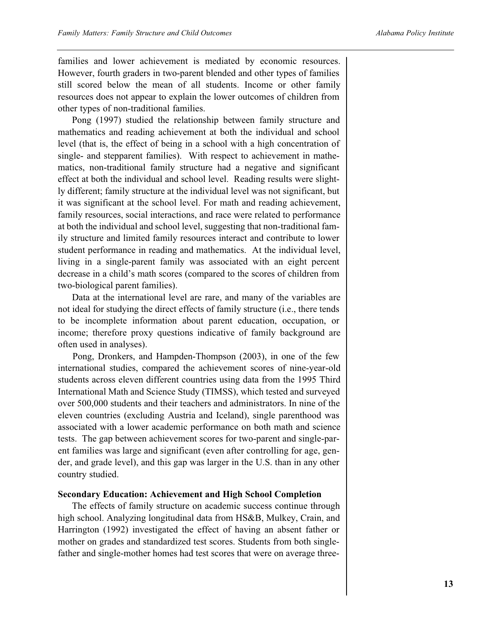families and lower achievement is mediated by economic resources. However, fourth graders in two-parent blended and other types of families still scored below the mean of all students. Income or other family resources does not appear to explain the lower outcomes of children from other types of non-traditional families.

Pong (1997) studied the relationship between family structure and mathematics and reading achievement at both the individual and school level (that is, the effect of being in a school with a high concentration of single- and stepparent families). With respect to achievement in mathematics, non-traditional family structure had a negative and significant effect at both the individual and school level. Reading results were slightly different; family structure at the individual level was not significant, but it was significant at the school level. For math and reading achievement, family resources, social interactions, and race were related to performance at both the individual and school level, suggesting that non-traditional family structure and limited family resources interact and contribute to lower student performance in reading and mathematics. At the individual level, living in a single-parent family was associated with an eight percent decrease in a child's math scores (compared to the scores of children from two-biological parent families).

Data at the international level are rare, and many of the variables are not ideal for studying the direct effects of family structure (i.e., there tends to be incomplete information about parent education, occupation, or income; therefore proxy questions indicative of family background are often used in analyses).

Pong, Dronkers, and Hampden-Thompson (2003), in one of the few international studies, compared the achievement scores of nine-year-old students across eleven different countries using data from the 1995 Third International Math and Science Study (TIMSS), which tested and surveyed over 500,000 students and their teachers and administrators. In nine of the eleven countries (excluding Austria and Iceland), single parenthood was associated with a lower academic performance on both math and science tests. The gap between achievement scores for two-parent and single-parent families was large and significant (even after controlling for age, gender, and grade level), and this gap was larger in the U.S. than in any other country studied.

#### **Secondary Education: Achievement and High School Completion**

The effects of family structure on academic success continue through high school. Analyzing longitudinal data from HS&B, Mulkey, Crain, and Harrington (1992) investigated the effect of having an absent father or mother on grades and standardized test scores. Students from both singlefather and single-mother homes had test scores that were on average three-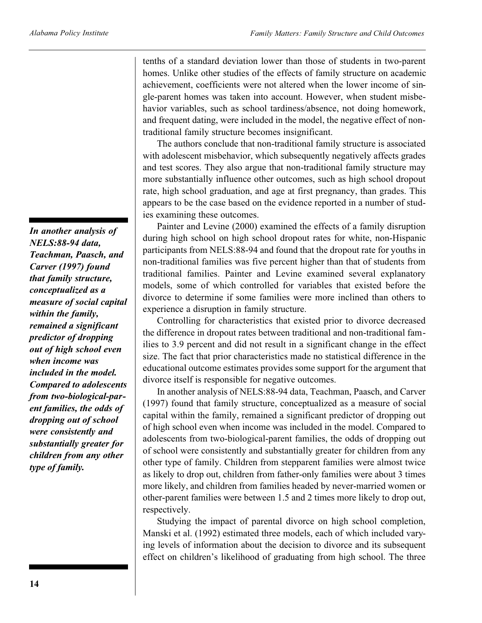*In another analysis of NELS:88-94 data, Teachman, Paasch, and Carver (1997) found that family structure, conceptualized as a measure of social capital within the family, remained a significant predictor of dropping out of high school even when income was included in the model. Compared to adolescents from two-biological-parent families, the odds of dropping out of school were consistently and substantially greater for children from any other type of family.*

tenths of a standard deviation lower than those of students in two-parent homes. Unlike other studies of the effects of family structure on academic achievement, coefficients were not altered when the lower income of single-parent homes was taken into account. However, when student misbehavior variables, such as school tardiness/absence, not doing homework, and frequent dating, were included in the model, the negative effect of nontraditional family structure becomes insignificant.

The authors conclude that non-traditional family structure is associated with adolescent misbehavior, which subsequently negatively affects grades and test scores. They also argue that non-traditional family structure may more substantially influence other outcomes, such as high school dropout rate, high school graduation, and age at first pregnancy, than grades. This appears to be the case based on the evidence reported in a number of studies examining these outcomes.

Painter and Levine (2000) examined the effects of a family disruption during high school on high school dropout rates for white, non-Hispanic participants from NELS:88-94 and found that the dropout rate for youths in non-traditional families was five percent higher than that of students from traditional families. Painter and Levine examined several explanatory models, some of which controlled for variables that existed before the divorce to determine if some families were more inclined than others to experience a disruption in family structure.

Controlling for characteristics that existed prior to divorce decreased the difference in dropout rates between traditional and non-traditional families to 3.9 percent and did not result in a significant change in the effect size. The fact that prior characteristics made no statistical difference in the educational outcome estimates provides some support for the argument that divorce itself is responsible for negative outcomes.

In another analysis of NELS:88-94 data, Teachman, Paasch, and Carver (1997) found that family structure, conceptualized as a measure of social capital within the family, remained a significant predictor of dropping out of high school even when income was included in the model. Compared to adolescents from two-biological-parent families, the odds of dropping out of school were consistently and substantially greater for children from any other type of family. Children from stepparent families were almost twice as likely to drop out, children from father-only families were about 3 times more likely, and children from families headed by never-married women or other-parent families were between 1.5 and 2 times more likely to drop out, respectively.

Studying the impact of parental divorce on high school completion, Manski et al. (1992) estimated three models, each of which included varying levels of information about the decision to divorce and its subsequent effect on children's likelihood of graduating from high school. The three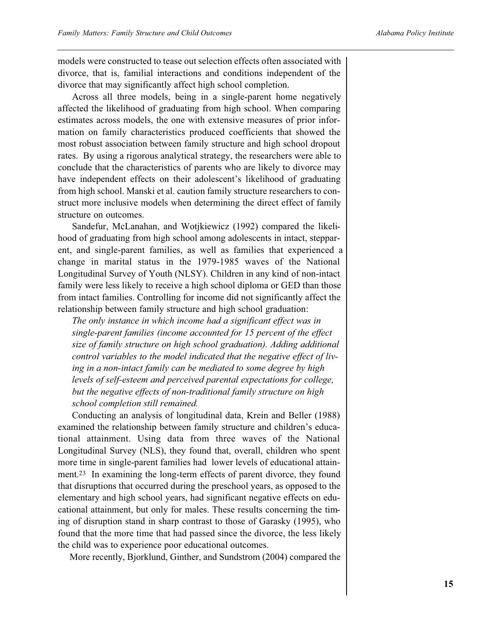models were constructed to tease out selection effects often associated with divorce, that is, familial interactions and conditions independent of the divorce that may significantly affect high school completion.

Across all three models, being in a single-parent home negatively affected the likelihood of graduating from high school. When comparing estimates across models, the one with extensive measures of prior information on family characteristics produced coefficients that showed the most robust association between family structure and high school dropout rates. By using a rigorous analytical strategy, the researchers were able to conclude that the characteristics of parents who are likely to divorce may have independent effects on their adolescent's likelihood of graduating from high school. Manski et al. caution family structure researchers to construct more inclusive models when determining the direct effect of family structure on outcomes.

Sandefur, McLanahan, and Wotjkiewicz (1992) compared the likelihood of graduating from high school among adolescents in intact, stepparent, and single-parent families, as well as families that experienced a change in marital status in the 1979-1985 waves of the National Longitudinal Survey of Youth (NLSY). Children in any kind of non-intact family were less likely to receive a high school diploma or GED than those from intact families. Controlling for income did not significantly affect the relationship between family structure and high school graduation:

*The only instance in which income had a significant effect was in single-parent families (income accounted for 15 percent of the effect size of family structure on high school graduation). Adding additional control variables to the model indicated that the negative effect of living in a non-intact family can be mediated to some degree by high levels of self-esteem and perceived parental expectations for college, but the negative effects of non-traditional family structure on high school completion still remained.*

Conducting an analysis of longitudinal data, Krein and Beller (1988) examined the relationship between family structure and children's educational attainment. Using data from three waves of the National Longitudinal Survey (NLS), they found that, overall, children who spent more time in single-parent families had lower levels of educational attainment.<sup>23</sup> In examining the long-term effects of parent divorce, they found that disruptions that occurred during the preschool years, as opposed to the elementary and high school years, had significant negative effects on educational attainment, but only for males. These results concerning the timing of disruption stand in sharp contrast to those of Garasky (1995), who found that the more time that had passed since the divorce, the less likely the child was to experience poor educational outcomes.

More recently, Bjorklund, Ginther, and Sundstrom (2004) compared the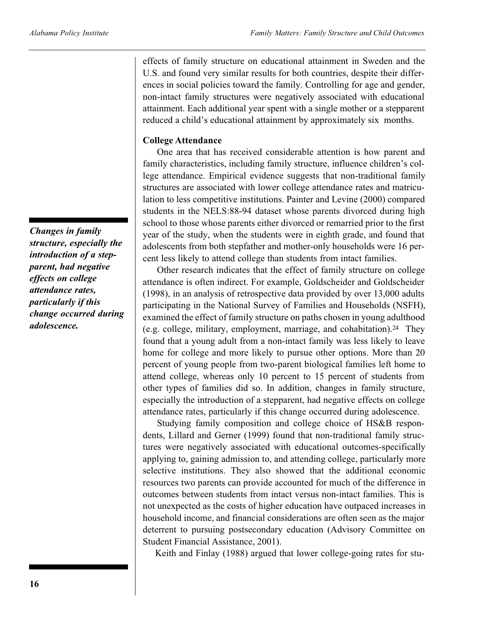effects of family structure on educational attainment in Sweden and the U.S. and found very similar results for both countries, despite their differences in social policies toward the family. Controlling for age and gender, non-intact family structures were negatively associated with educational attainment. Each additional year spent with a single mother or a stepparent reduced a child's educational attainment by approximately six months.

### **College Attendance**

One area that has received considerable attention is how parent and family characteristics, including family structure, influence children's college attendance. Empirical evidence suggests that non-traditional family structures are associated with lower college attendance rates and matriculation to less competitive institutions. Painter and Levine (2000) compared students in the NELS:88-94 dataset whose parents divorced during high school to those whose parents either divorced or remarried prior to the first year of the study, when the students were in eighth grade, and found that adolescents from both stepfather and mother-only households were 16 percent less likely to attend college than students from intact families.

Other research indicates that the effect of family structure on college attendance is often indirect. For example, Goldscheider and Goldscheider (1998), in an analysis of retrospective data provided by over 13,000 adults participating in the National Survey of Families and Households (NSFH), examined the effect of family structure on paths chosen in young adulthood (e.g. college, military, employment, marriage, and cohabitation).<sup>24</sup> They found that a young adult from a non-intact family was less likely to leave home for college and more likely to pursue other options. More than 20 percent of young people from two-parent biological families left home to attend college, whereas only 10 percent to 15 percent of students from other types of families did so. In addition, changes in family structure, especially the introduction of a stepparent, had negative effects on college attendance rates, particularly if this change occurred during adolescence.

Studying family composition and college choice of HS&B respondents, Lillard and Gerner (1999) found that non-traditional family structures were negatively associated with educational outcomes-specifically applying to, gaining admission to, and attending college, particularly more selective institutions. They also showed that the additional economic resources two parents can provide accounted for much of the difference in outcomes between students from intact versus non-intact families. This is not unexpected as the costs of higher education have outpaced increases in household income, and financial considerations are often seen as the major deterrent to pursuing postsecondary education (Advisory Committee on Student Financial Assistance, 2001).

Keith and Finlay (1988) argued that lower college-going rates for stu-

*Changes in family structure, especially the introduction of a stepparent, had negative effects on college attendance rates, particularly if this change occurred during adolescence.*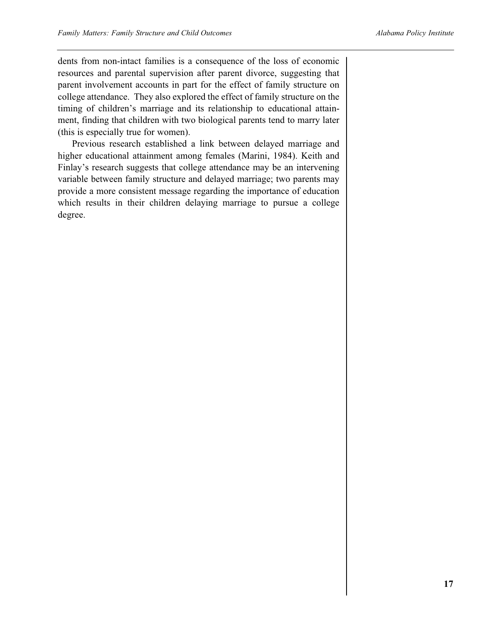dents from non-intact families is a consequence of the loss of economic resources and parental supervision after parent divorce, suggesting that parent involvement accounts in part for the effect of family structure on college attendance. They also explored the effect of family structure on the timing of children's marriage and its relationship to educational attainment, finding that children with two biological parents tend to marry later (this is especially true for women).

Previous research established a link between delayed marriage and higher educational attainment among females (Marini, 1984). Keith and Finlay's research suggests that college attendance may be an intervening variable between family structure and delayed marriage; two parents may provide a more consistent message regarding the importance of education which results in their children delaying marriage to pursue a college degree.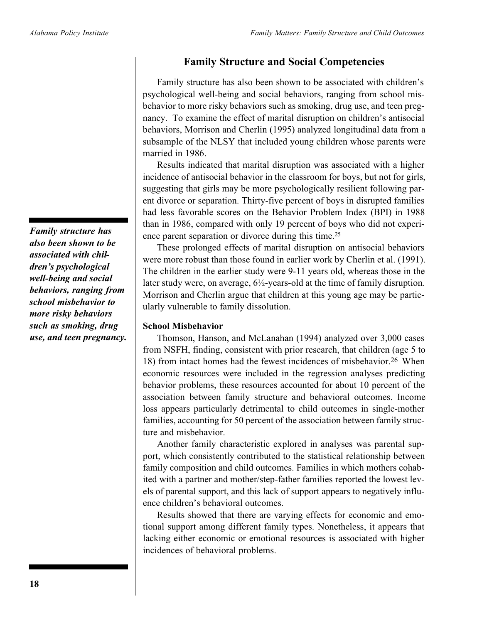### **Family Structure and Social Competencies**

Family structure has also been shown to be associated with children's psychological well-being and social behaviors, ranging from school misbehavior to more risky behaviors such as smoking, drug use, and teen pregnancy. To examine the effect of marital disruption on children's antisocial behaviors, Morrison and Cherlin (1995) analyzed longitudinal data from a subsample of the NLSY that included young children whose parents were married in 1986.

Results indicated that marital disruption was associated with a higher incidence of antisocial behavior in the classroom for boys, but not for girls, suggesting that girls may be more psychologically resilient following parent divorce or separation. Thirty-five percent of boys in disrupted families had less favorable scores on the Behavior Problem Index (BPI) in 1988 than in 1986, compared with only 19 percent of boys who did not experience parent separation or divorce during this time.<sup>25</sup>

These prolonged effects of marital disruption on antisocial behaviors were more robust than those found in earlier work by Cherlin et al. (1991). The children in the earlier study were 9-11 years old, whereas those in the later study were, on average,  $6\frac{1}{2}$ -years-old at the time of family disruption. Morrison and Cherlin argue that children at this young age may be particularly vulnerable to family dissolution.

### **School Misbehavior**

Thomson, Hanson, and McLanahan (1994) analyzed over 3,000 cases from NSFH, finding, consistent with prior research, that children (age 5 to 18) from intact homes had the fewest incidences of misbehavior.26 When economic resources were included in the regression analyses predicting behavior problems, these resources accounted for about 10 percent of the association between family structure and behavioral outcomes. Income loss appears particularly detrimental to child outcomes in single-mother families, accounting for 50 percent of the association between family structure and misbehavior.

Another family characteristic explored in analyses was parental support, which consistently contributed to the statistical relationship between family composition and child outcomes. Families in which mothers cohabited with a partner and mother/step-father families reported the lowest levels of parental support, and this lack of support appears to negatively influence children's behavioral outcomes.

Results showed that there are varying effects for economic and emotional support among different family types. Nonetheless, it appears that lacking either economic or emotional resources is associated with higher incidences of behavioral problems.

*Family structure has also been shown to be associated with children's psychological well-being and social behaviors, ranging from school misbehavior to more risky behaviors such as smoking, drug use, and teen pregnancy.*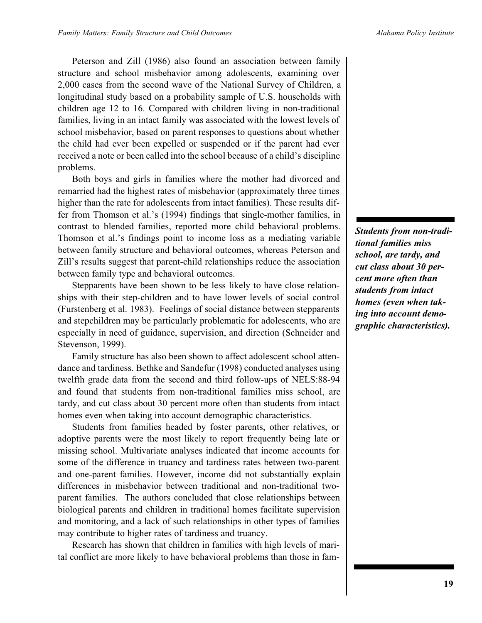Peterson and Zill (1986) also found an association between family structure and school misbehavior among adolescents, examining over 2,000 cases from the second wave of the National Survey of Children, a longitudinal study based on a probability sample of U.S. households with children age 12 to 16. Compared with children living in non-traditional families, living in an intact family was associated with the lowest levels of school misbehavior, based on parent responses to questions about whether the child had ever been expelled or suspended or if the parent had ever received a note or been called into the school because of a child's discipline problems.

Both boys and girls in families where the mother had divorced and remarried had the highest rates of misbehavior (approximately three times higher than the rate for adolescents from intact families). These results differ from Thomson et al.'s (1994) findings that single-mother families, in contrast to blended families, reported more child behavioral problems. Thomson et al.'s findings point to income loss as a mediating variable between family structure and behavioral outcomes, whereas Peterson and Zill's results suggest that parent-child relationships reduce the association between family type and behavioral outcomes.

Stepparents have been shown to be less likely to have close relationships with their step-children and to have lower levels of social control (Furstenberg et al. 1983). Feelings of social distance between stepparents and stepchildren may be particularly problematic for adolescents, who are especially in need of guidance, supervision, and direction (Schneider and Stevenson, 1999).

Family structure has also been shown to affect adolescent school attendance and tardiness. Bethke and Sandefur (1998) conducted analyses using twelfth grade data from the second and third follow-ups of NELS:88-94 and found that students from non-traditional families miss school, are tardy, and cut class about 30 percent more often than students from intact homes even when taking into account demographic characteristics.

Students from families headed by foster parents, other relatives, or adoptive parents were the most likely to report frequently being late or missing school. Multivariate analyses indicated that income accounts for some of the difference in truancy and tardiness rates between two-parent and one-parent families. However, income did not substantially explain differences in misbehavior between traditional and non-traditional twoparent families. The authors concluded that close relationships between biological parents and children in traditional homes facilitate supervision and monitoring, and a lack of such relationships in other types of families may contribute to higher rates of tardiness and truancy.

Research has shown that children in families with high levels of marital conflict are more likely to have behavioral problems than those in fam*Students from non-traditional families miss school, are tardy, and cut class about 30 percent more often than students from intact homes (even when taking into account demographic characteristics).*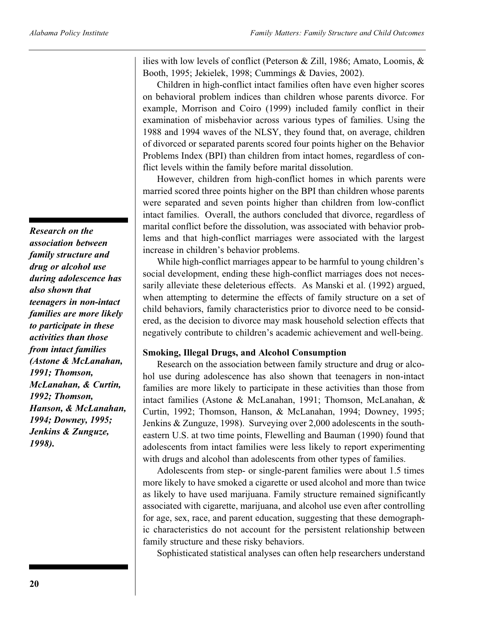*Research on the association between family structure and drug or alcohol use during adolescence has also shown that teenagers in non-intact families are more likely to participate in these activities than those from intact families (Astone & McLanahan, 1991; Thomson, McLanahan, & Curtin, 1992; Thomson, Hanson, & McLanahan, 1994; Downey, 1995; Jenkins & Zunguze, 1998).*

ilies with low levels of conflict (Peterson & Zill, 1986; Amato, Loomis, & Booth, 1995; Jekielek, 1998; Cummings & Davies, 2002).

Children in high-conflict intact families often have even higher scores on behavioral problem indices than children whose parents divorce. For example, Morrison and Coiro (1999) included family conflict in their examination of misbehavior across various types of families. Using the 1988 and 1994 waves of the NLSY, they found that, on average, children of divorced or separated parents scored four points higher on the Behavior Problems Index (BPI) than children from intact homes, regardless of conflict levels within the family before marital dissolution.

However, children from high-conflict homes in which parents were married scored three points higher on the BPI than children whose parents were separated and seven points higher than children from low-conflict intact families. Overall, the authors concluded that divorce, regardless of marital conflict before the dissolution, was associated with behavior problems and that high-conflict marriages were associated with the largest increase in children's behavior problems.

While high-conflict marriages appear to be harmful to young children's social development, ending these high-conflict marriages does not necessarily alleviate these deleterious effects. As Manski et al. (1992) argued, when attempting to determine the effects of family structure on a set of child behaviors, family characteristics prior to divorce need to be considered, as the decision to divorce may mask household selection effects that negatively contribute to children's academic achievement and well-being.

### **Smoking, Illegal Drugs, and Alcohol Consumption**

Research on the association between family structure and drug or alcohol use during adolescence has also shown that teenagers in non-intact families are more likely to participate in these activities than those from intact families (Astone & McLanahan, 1991; Thomson, McLanahan, & Curtin, 1992; Thomson, Hanson, & McLanahan, 1994; Downey, 1995; Jenkins & Zunguze, 1998). Surveying over 2,000 adolescents in the southeastern U.S. at two time points, Flewelling and Bauman (1990) found that adolescents from intact families were less likely to report experimenting with drugs and alcohol than adolescents from other types of families.

Adolescents from step- or single-parent families were about 1.5 times more likely to have smoked a cigarette or used alcohol and more than twice as likely to have used marijuana. Family structure remained significantly associated with cigarette, marijuana, and alcohol use even after controlling for age, sex, race, and parent education, suggesting that these demographic characteristics do not account for the persistent relationship between family structure and these risky behaviors.

Sophisticated statistical analyses can often help researchers understand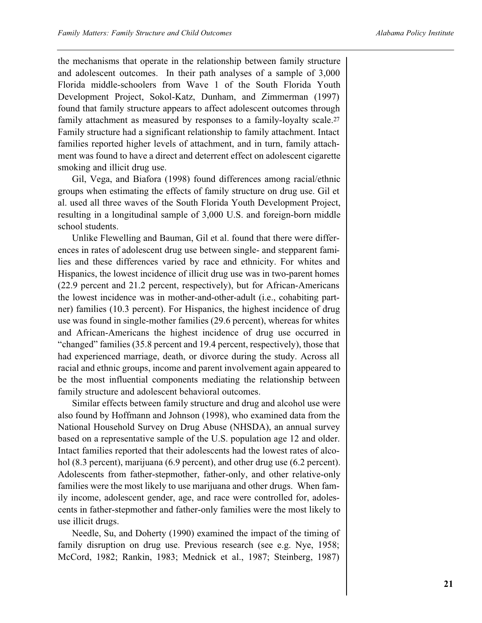the mechanisms that operate in the relationship between family structure and adolescent outcomes. In their path analyses of a sample of 3,000 Florida middle-schoolers from Wave 1 of the South Florida Youth Development Project, Sokol-Katz, Dunham, and Zimmerman (1997) found that family structure appears to affect adolescent outcomes through family attachment as measured by responses to a family-loyalty scale.<sup>27</sup> Family structure had a significant relationship to family attachment. Intact families reported higher levels of attachment, and in turn, family attachment was found to have a direct and deterrent effect on adolescent cigarette smoking and illicit drug use.

Gil, Vega, and Biafora (1998) found differences among racial/ethnic groups when estimating the effects of family structure on drug use. Gil et al. used all three waves of the South Florida Youth Development Project, resulting in a longitudinal sample of 3,000 U.S. and foreign-born middle school students.

Unlike Flewelling and Bauman, Gil et al. found that there were differences in rates of adolescent drug use between single- and stepparent families and these differences varied by race and ethnicity. For whites and Hispanics, the lowest incidence of illicit drug use was in two-parent homes (22.9 percent and 21.2 percent, respectively), but for African-Americans the lowest incidence was in mother-and-other-adult (i.e., cohabiting partner) families (10.3 percent). For Hispanics, the highest incidence of drug use was found in single-mother families (29.6 percent), whereas for whites and African-Americans the highest incidence of drug use occurred in "changed" families (35.8 percent and 19.4 percent, respectively), those that had experienced marriage, death, or divorce during the study. Across all racial and ethnic groups, income and parent involvement again appeared to be the most influential components mediating the relationship between family structure and adolescent behavioral outcomes.

Similar effects between family structure and drug and alcohol use were also found by Hoffmann and Johnson (1998), who examined data from the National Household Survey on Drug Abuse (NHSDA), an annual survey based on a representative sample of the U.S. population age 12 and older. Intact families reported that their adolescents had the lowest rates of alcohol (8.3 percent), marijuana (6.9 percent), and other drug use (6.2 percent). Adolescents from father-stepmother, father-only, and other relative-only families were the most likely to use marijuana and other drugs. When family income, adolescent gender, age, and race were controlled for, adolescents in father-stepmother and father-only families were the most likely to use illicit drugs.

Needle, Su, and Doherty (1990) examined the impact of the timing of family disruption on drug use. Previous research (see e.g. Nye, 1958; McCord, 1982; Rankin, 1983; Mednick et al., 1987; Steinberg, 1987)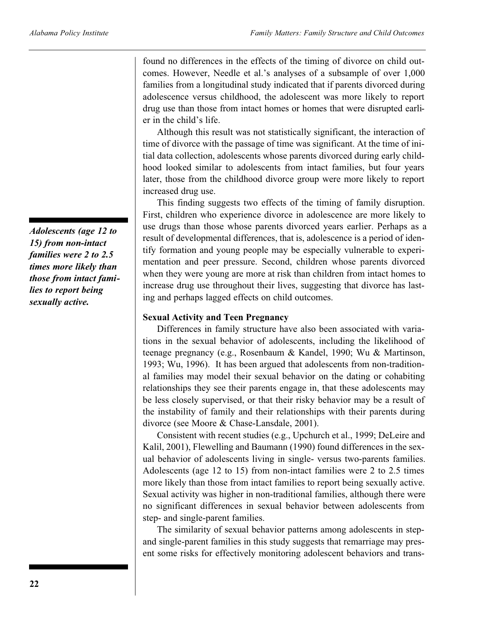found no differences in the effects of the timing of divorce on child outcomes. However, Needle et al.'s analyses of a subsample of over 1,000 families from a longitudinal study indicated that if parents divorced during adolescence versus childhood, the adolescent was more likely to report drug use than those from intact homes or homes that were disrupted earlier in the child's life.

Although this result was not statistically significant, the interaction of time of divorce with the passage of time was significant. At the time of initial data collection, adolescents whose parents divorced during early childhood looked similar to adolescents from intact families, but four years later, those from the childhood divorce group were more likely to report increased drug use.

This finding suggests two effects of the timing of family disruption. First, children who experience divorce in adolescence are more likely to use drugs than those whose parents divorced years earlier. Perhaps as a result of developmental differences, that is, adolescence is a period of identify formation and young people may be especially vulnerable to experimentation and peer pressure. Second, children whose parents divorced when they were young are more at risk than children from intact homes to increase drug use throughout their lives, suggesting that divorce has lasting and perhaps lagged effects on child outcomes.

### **Sexual Activity and Teen Pregnancy**

Differences in family structure have also been associated with variations in the sexual behavior of adolescents, including the likelihood of teenage pregnancy (e.g., Rosenbaum & Kandel, 1990; Wu & Martinson, 1993; Wu, 1996). It has been argued that adolescents from non-traditional families may model their sexual behavior on the dating or cohabiting relationships they see their parents engage in, that these adolescents may be less closely supervised, or that their risky behavior may be a result of the instability of family and their relationships with their parents during divorce (see Moore & Chase-Lansdale, 2001).

Consistent with recent studies (e.g., Upchurch et al., 1999; DeLeire and Kalil, 2001), Flewelling and Baumann (1990) found differences in the sexual behavior of adolescents living in single- versus two-parents families. Adolescents (age 12 to 15) from non-intact families were 2 to 2.5 times more likely than those from intact families to report being sexually active. Sexual activity was higher in non-traditional families, although there were no significant differences in sexual behavior between adolescents from step- and single-parent families.

The similarity of sexual behavior patterns among adolescents in stepand single-parent families in this study suggests that remarriage may present some risks for effectively monitoring adolescent behaviors and trans-

*Adolescents (age 12 to 15) from non-intact families were 2 to 2.5 times more likely than those from intact families to report being sexually active.*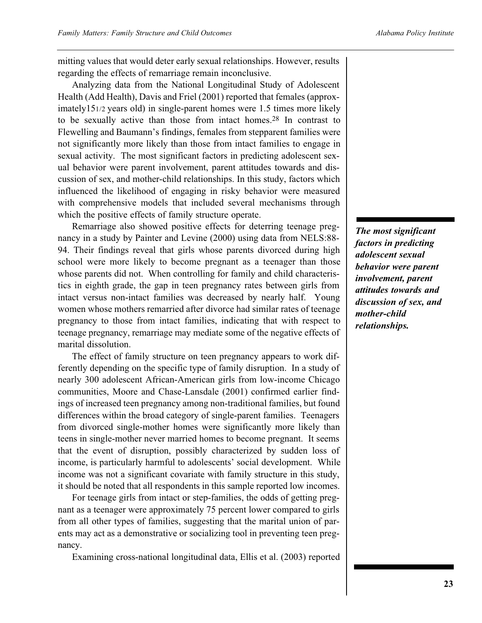mitting values that would deter early sexual relationships. However, results regarding the effects of remarriage remain inconclusive.

Analyzing data from the National Longitudinal Study of Adolescent Health (Add Health), Davis and Friel (2001) reported that females (approximately151/2 years old) in single-parent homes were 1.5 times more likely to be sexually active than those from intact homes.28 In contrast to Flewelling and Baumann's findings, females from stepparent families were not significantly more likely than those from intact families to engage in sexual activity. The most significant factors in predicting adolescent sexual behavior were parent involvement, parent attitudes towards and discussion of sex, and mother-child relationships. In this study, factors which influenced the likelihood of engaging in risky behavior were measured with comprehensive models that included several mechanisms through which the positive effects of family structure operate.

Remarriage also showed positive effects for deterring teenage pregnancy in a study by Painter and Levine (2000) using data from NELS:88- 94. Their findings reveal that girls whose parents divorced during high school were more likely to become pregnant as a teenager than those whose parents did not. When controlling for family and child characteristics in eighth grade, the gap in teen pregnancy rates between girls from intact versus non-intact families was decreased by nearly half. Young women whose mothers remarried after divorce had similar rates of teenage pregnancy to those from intact families, indicating that with respect to teenage pregnancy, remarriage may mediate some of the negative effects of marital dissolution.

The effect of family structure on teen pregnancy appears to work differently depending on the specific type of family disruption. In a study of nearly 300 adolescent African-American girls from low-income Chicago communities, Moore and Chase-Lansdale (2001) confirmed earlier findings of increased teen pregnancy among non-traditional families, but found differences within the broad category of single-parent families. Teenagers from divorced single-mother homes were significantly more likely than teens in single-mother never married homes to become pregnant. It seems that the event of disruption, possibly characterized by sudden loss of income, is particularly harmful to adolescents' social development. While income was not a significant covariate with family structure in this study, it should be noted that all respondents in this sample reported low incomes.

For teenage girls from intact or step-families, the odds of getting pregnant as a teenager were approximately 75 percent lower compared to girls from all other types of families, suggesting that the marital union of parents may act as a demonstrative or socializing tool in preventing teen pregnancy.

Examining cross-national longitudinal data, Ellis et al. (2003) reported

*The most significant factors in predicting adolescent sexual behavior were parent involvement, parent attitudes towards and discussion of sex, and mother-child relationships.*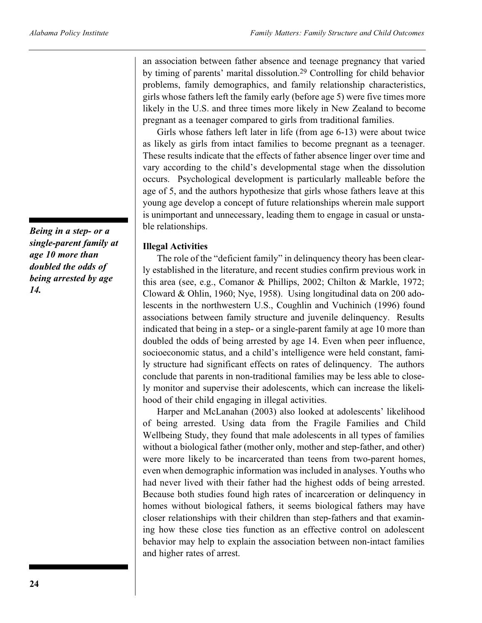an association between father absence and teenage pregnancy that varied by timing of parents' marital dissolution.29 Controlling for child behavior problems, family demographics, and family relationship characteristics, girls whose fathers left the family early (before age 5) were five times more likely in the U.S. and three times more likely in New Zealand to become pregnant as a teenager compared to girls from traditional families.

Girls whose fathers left later in life (from age 6-13) were about twice as likely as girls from intact families to become pregnant as a teenager. These results indicate that the effects of father absence linger over time and vary according to the child's developmental stage when the dissolution occurs. Psychological development is particularly malleable before the age of 5, and the authors hypothesize that girls whose fathers leave at this young age develop a concept of future relationships wherein male support is unimportant and unnecessary, leading them to engage in casual or unstable relationships.

### **Illegal Activities**

The role of the "deficient family" in delinquency theory has been clearly established in the literature, and recent studies confirm previous work in this area (see, e.g., Comanor & Phillips, 2002; Chilton & Markle, 1972; Cloward & Ohlin, 1960; Nye, 1958). Using longitudinal data on 200 adolescents in the northwestern U.S., Coughlin and Vuchinich (1996) found associations between family structure and juvenile delinquency. Results indicated that being in a step- or a single-parent family at age 10 more than doubled the odds of being arrested by age 14. Even when peer influence, socioeconomic status, and a child's intelligence were held constant, family structure had significant effects on rates of delinquency. The authors conclude that parents in non-traditional families may be less able to closely monitor and supervise their adolescents, which can increase the likelihood of their child engaging in illegal activities.

Harper and McLanahan (2003) also looked at adolescents' likelihood of being arrested. Using data from the Fragile Families and Child Wellbeing Study, they found that male adolescents in all types of families without a biological father (mother only, mother and step-father, and other) were more likely to be incarcerated than teens from two-parent homes, even when demographic information was included in analyses. Youths who had never lived with their father had the highest odds of being arrested. Because both studies found high rates of incarceration or delinquency in homes without biological fathers, it seems biological fathers may have closer relationships with their children than step-fathers and that examining how these close ties function as an effective control on adolescent behavior may help to explain the association between non-intact families and higher rates of arrest.

*Being in a step- or a single-parent family at age 10 more than doubled the odds of being arrested by age 14.*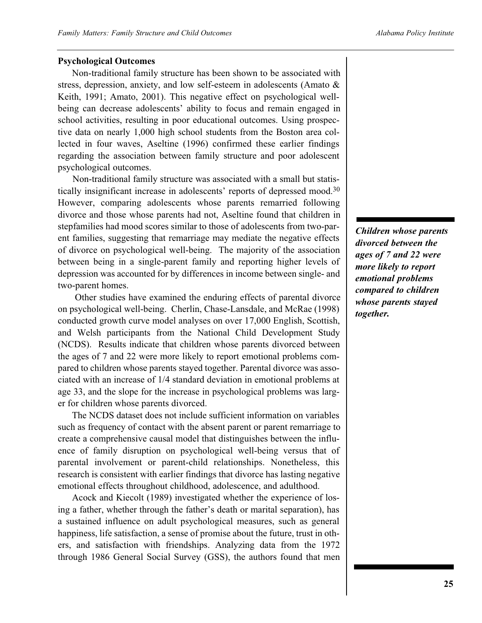### **Psychological Outcomes**

Non-traditional family structure has been shown to be associated with stress, depression, anxiety, and low self-esteem in adolescents (Amato & Keith, 1991; Amato, 2001). This negative effect on psychological wellbeing can decrease adolescents' ability to focus and remain engaged in school activities, resulting in poor educational outcomes. Using prospective data on nearly 1,000 high school students from the Boston area collected in four waves, Aseltine (1996) confirmed these earlier findings regarding the association between family structure and poor adolescent psychological outcomes.

Non-traditional family structure was associated with a small but statistically insignificant increase in adolescents' reports of depressed mood.30 However, comparing adolescents whose parents remarried following divorce and those whose parents had not, Aseltine found that children in stepfamilies had mood scores similar to those of adolescents from two-parent families, suggesting that remarriage may mediate the negative effects of divorce on psychological well-being. The majority of the association between being in a single-parent family and reporting higher levels of depression was accounted for by differences in income between single- and two-parent homes.

Other studies have examined the enduring effects of parental divorce on psychological well-being. Cherlin, Chase-Lansdale, and McRae (1998) conducted growth curve model analyses on over 17,000 English, Scottish, and Welsh participants from the National Child Development Study (NCDS). Results indicate that children whose parents divorced between the ages of 7 and 22 were more likely to report emotional problems compared to children whose parents stayed together. Parental divorce was associated with an increase of 1/4 standard deviation in emotional problems at age 33, and the slope for the increase in psychological problems was larger for children whose parents divorced.

The NCDS dataset does not include sufficient information on variables such as frequency of contact with the absent parent or parent remarriage to create a comprehensive causal model that distinguishes between the influence of family disruption on psychological well-being versus that of parental involvement or parent-child relationships. Nonetheless, this research is consistent with earlier findings that divorce has lasting negative emotional effects throughout childhood, adolescence, and adulthood.

Acock and Kiecolt (1989) investigated whether the experience of losing a father, whether through the father's death or marital separation), has a sustained influence on adult psychological measures, such as general happiness, life satisfaction, a sense of promise about the future, trust in others, and satisfaction with friendships. Analyzing data from the 1972 through 1986 General Social Survey (GSS), the authors found that men *Children whose parents divorced between the ages of 7 and 22 were more likely to report emotional problems compared to children whose parents stayed together.*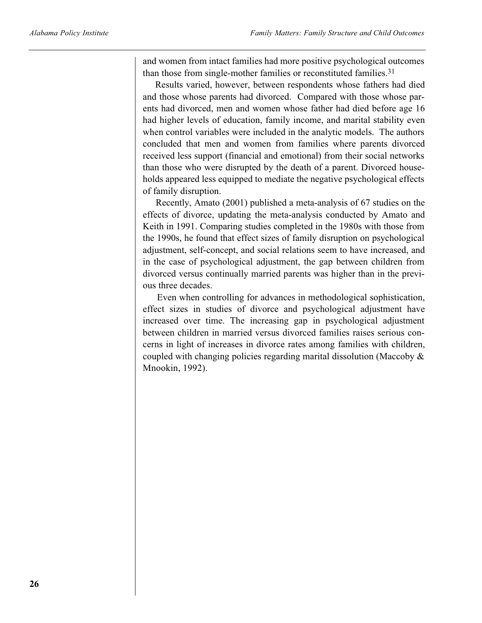and women from intact families had more positive psychological outcomes than those from single-mother families or reconstituted families.<sup>31</sup>

Results varied, however, between respondents whose fathers had died and those whose parents had divorced. Compared with those whose parents had divorced, men and women whose father had died before age 16 had higher levels of education, family income, and marital stability even when control variables were included in the analytic models. The authors concluded that men and women from families where parents divorced received less support (financial and emotional) from their social networks than those who were disrupted by the death of a parent. Divorced households appeared less equipped to mediate the negative psychological effects of family disruption.

Recently, Amato (2001) published a meta-analysis of 67 studies on the effects of divorce, updating the meta-analysis conducted by Amato and Keith in 1991. Comparing studies completed in the 1980s with those from the 1990s, he found that effect sizes of family disruption on psychological adjustment, self-concept, and social relations seem to have increased, and in the case of psychological adjustment, the gap between children from divorced versus continually married parents was higher than in the previous three decades.

Even when controlling for advances in methodological sophistication, effect sizes in studies of divorce and psychological adjustment have increased over time. The increasing gap in psychological adjustment between children in married versus divorced families raises serious concerns in light of increases in divorce rates among families with children, coupled with changing policies regarding marital dissolution (Maccoby & Mnookin, 1992).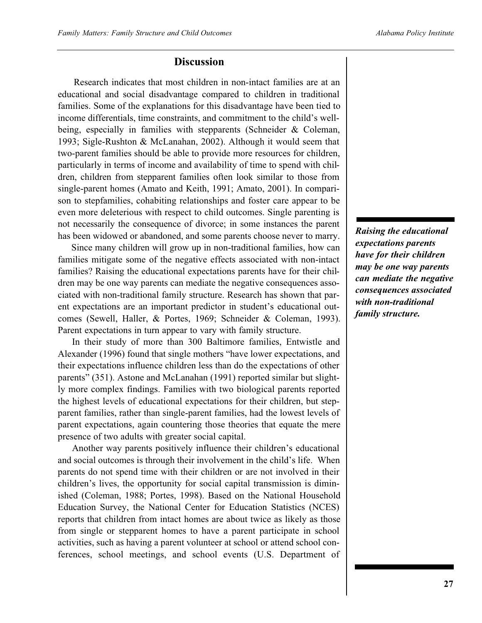### **Discussion**

Research indicates that most children in non-intact families are at an educational and social disadvantage compared to children in traditional families. Some of the explanations for this disadvantage have been tied to income differentials, time constraints, and commitment to the child's wellbeing, especially in families with stepparents (Schneider & Coleman, 1993; Sigle-Rushton & McLanahan, 2002). Although it would seem that two-parent families should be able to provide more resources for children, particularly in terms of income and availability of time to spend with children, children from stepparent families often look similar to those from single-parent homes (Amato and Keith, 1991; Amato, 2001). In comparison to stepfamilies, cohabiting relationships and foster care appear to be even more deleterious with respect to child outcomes. Single parenting is not necessarily the consequence of divorce; in some instances the parent has been widowed or abandoned, and some parents choose never to marry.

Since many children will grow up in non-traditional families, how can families mitigate some of the negative effects associated with non-intact families? Raising the educational expectations parents have for their children may be one way parents can mediate the negative consequences associated with non-traditional family structure. Research has shown that parent expectations are an important predictor in student's educational outcomes (Sewell, Haller, & Portes, 1969; Schneider & Coleman, 1993). Parent expectations in turn appear to vary with family structure.

In their study of more than 300 Baltimore families, Entwistle and Alexander (1996) found that single mothers "have lower expectations, and their expectations influence children less than do the expectations of other parents" (351). Astone and McLanahan (1991) reported similar but slightly more complex findings. Families with two biological parents reported the highest levels of educational expectations for their children, but stepparent families, rather than single-parent families, had the lowest levels of parent expectations, again countering those theories that equate the mere presence of two adults with greater social capital.

Another way parents positively influence their children's educational and social outcomes is through their involvement in the child's life. When parents do not spend time with their children or are not involved in their children's lives, the opportunity for social capital transmission is diminished (Coleman, 1988; Portes, 1998). Based on the National Household Education Survey, the National Center for Education Statistics (NCES) reports that children from intact homes are about twice as likely as those from single or stepparent homes to have a parent participate in school activities, such as having a parent volunteer at school or attend school conferences, school meetings, and school events (U.S. Department of

*Raising the educational expectations parents have for their children may be one way parents can mediate the negative consequences associated with non-traditional family structure.*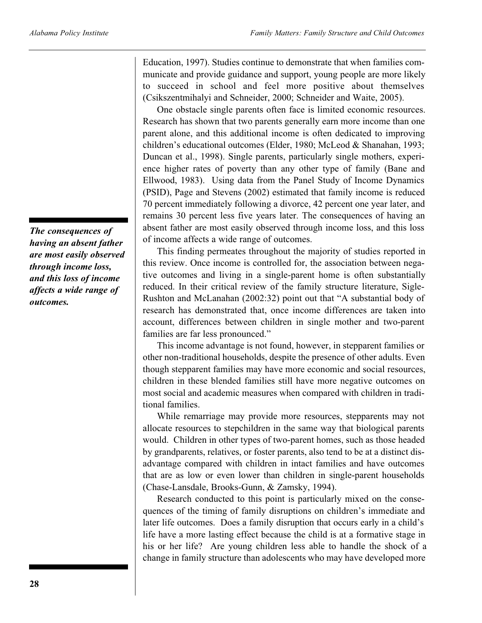*The consequences of having an absent father are most easily observed through income loss, and this loss of income affects a wide range of outcomes.*

Education, 1997). Studies continue to demonstrate that when families communicate and provide guidance and support, young people are more likely to succeed in school and feel more positive about themselves (Csikszentmihalyi and Schneider, 2000; Schneider and Waite, 2005).

One obstacle single parents often face is limited economic resources. Research has shown that two parents generally earn more income than one parent alone, and this additional income is often dedicated to improving children's educational outcomes (Elder, 1980; McLeod & Shanahan, 1993; Duncan et al., 1998). Single parents, particularly single mothers, experience higher rates of poverty than any other type of family (Bane and Ellwood, 1983). Using data from the Panel Study of Income Dynamics (PSID), Page and Stevens (2002) estimated that family income is reduced 70 percent immediately following a divorce, 42 percent one year later, and remains 30 percent less five years later. The consequences of having an absent father are most easily observed through income loss, and this loss of income affects a wide range of outcomes.

This finding permeates throughout the majority of studies reported in this review. Once income is controlled for, the association between negative outcomes and living in a single-parent home is often substantially reduced. In their critical review of the family structure literature, Sigle-Rushton and McLanahan (2002:32) point out that "A substantial body of research has demonstrated that, once income differences are taken into account, differences between children in single mother and two-parent families are far less pronounced."

This income advantage is not found, however, in stepparent families or other non-traditional households, despite the presence of other adults. Even though stepparent families may have more economic and social resources, children in these blended families still have more negative outcomes on most social and academic measures when compared with children in traditional families.

While remarriage may provide more resources, stepparents may not allocate resources to stepchildren in the same way that biological parents would. Children in other types of two-parent homes, such as those headed by grandparents, relatives, or foster parents, also tend to be at a distinct disadvantage compared with children in intact families and have outcomes that are as low or even lower than children in single-parent households (Chase-Lansdale, Brooks-Gunn, & Zamsky, 1994).

Research conducted to this point is particularly mixed on the consequences of the timing of family disruptions on children's immediate and later life outcomes. Does a family disruption that occurs early in a child's life have a more lasting effect because the child is at a formative stage in his or her life? Are young children less able to handle the shock of a change in family structure than adolescents who may have developed more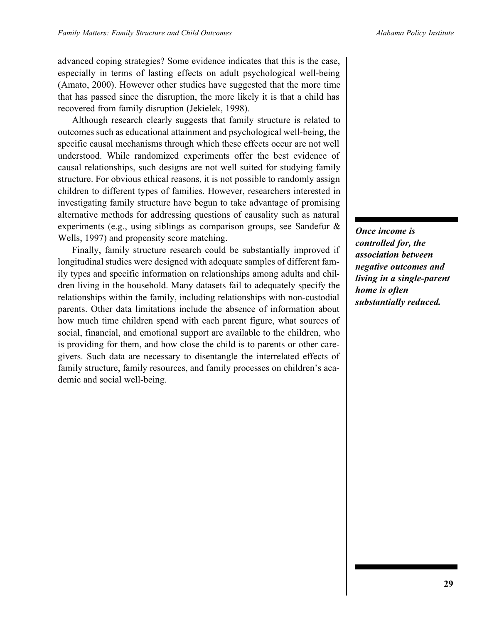advanced coping strategies? Some evidence indicates that this is the case, especially in terms of lasting effects on adult psychological well-being (Amato, 2000). However other studies have suggested that the more time that has passed since the disruption, the more likely it is that a child has recovered from family disruption (Jekielek, 1998).

Although research clearly suggests that family structure is related to outcomes such as educational attainment and psychological well-being, the specific causal mechanisms through which these effects occur are not well understood. While randomized experiments offer the best evidence of causal relationships, such designs are not well suited for studying family structure. For obvious ethical reasons, it is not possible to randomly assign children to different types of families. However, researchers interested in investigating family structure have begun to take advantage of promising alternative methods for addressing questions of causality such as natural experiments (e.g., using siblings as comparison groups, see Sandefur & Wells, 1997) and propensity score matching.

Finally, family structure research could be substantially improved if longitudinal studies were designed with adequate samples of different family types and specific information on relationships among adults and children living in the household. Many datasets fail to adequately specify the relationships within the family, including relationships with non-custodial parents. Other data limitations include the absence of information about how much time children spend with each parent figure, what sources of social, financial, and emotional support are available to the children, who is providing for them, and how close the child is to parents or other caregivers. Such data are necessary to disentangle the interrelated effects of family structure, family resources, and family processes on children's academic and social well-being.

*Once income is controlled for, the association between negative outcomes and living in a single-parent home is often substantially reduced.*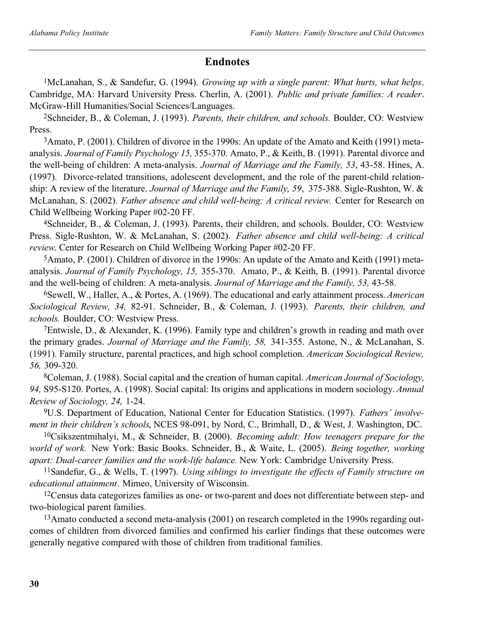### **Endnotes**

1McLanahan, S., & Sandefur, G. (1994). *Growing up with a single parent: What hurts, what helps*. Cambridge, MA: Harvard University Press. Cherlin, A. (2001). *Public and private families: A reader*. McGraw-Hill Humanities/Social Sciences/Languages.

2Schneider, B., & Coleman, J. (1993). *Parents, their children, and schools.* Boulder, CO: Westview Press.

3Amato, P. (2001). Children of divorce in the 1990s: An update of the Amato and Keith (1991) metaanalysis. *Journal of Family Psychology 15,* 355-370. Amato, P., & Keith, B. (1991). Parental divorce and the well-being of children: A meta-analysis. *Journal of Marriage and the Family, 53*, 43-58. Hines, A. (1997). Divorce-related transitions, adolescent development, and the role of the parent-child relationship: A review of the literature. *Journal of Marriage and the Family, 59*, 375-388. Sigle-Rushton, W. & McLanahan, S. (2002). *Father absence and child well-being: A critical review.* Center for Research on Child Wellbeing Working Paper #02-20 FF.

4Schneider, B., & Coleman, J. (1993). Parents, their children, and schools. Boulder, CO: Westview Press. Sigle-Rushton, W. & McLanahan, S. (2002). *Father absence and child well-being: A critical review*. Center for Research on Child Wellbeing Working Paper #02-20 FF.

5Amato, P. (2001). Children of divorce in the 1990s: An update of the Amato and Keith (1991) metaanalysis. *Journal of Family Psychology, 15,* 355-370. Amato, P., & Keith, B. (1991). Parental divorce and the well-being of children: A meta-analysis. *Journal of Marriage and the Family, 53,* 43-58.

6Sewell, W., Haller, A., & Portes, A. (1969). The educational and early attainment process. *American Sociological Review, 34,* 82-91. Schneider, B., & Coleman, J. (1993). *Parents, their children, and schools.* Boulder, CO: Westview Press.

7Entwisle, D., & Alexander, K. (1996). Family type and children's growth in reading and math over the primary grades. *Journal of Marriage and the Family, 58,* 341-355. Astone, N., & McLanahan, S. (1991). Family structure, parental practices, and high school completion. *American Sociological Review, 56,* 309-320.

8Coleman, J. (1988). Social capital and the creation of human capital. *American Journal of Sociology, 94,* S95-S120. Portes, A. (1998). Social capital: Its origins and applications in modern sociology. *Annual Review of Sociology, 24,* 1-24.

9U.S. Department of Education, National Center for Education Statistics. (1997). *Fathers' involvement in their children's schools*, NCES 98-091, by Nord, C., Brimhall, D., & West, J. Washington, DC.

10Csikszentmihalyi, M., & Schneider, B. (2000). *Becoming adult: How teenagers prepare for the world of work.* New York: Basic Books. Schneider, B., & Waite, L. (2005). *Being together, working apart: Dual-career families and the work-life balance.* New York: Cambridge University Press.

11Sandefur, G., & Wells, T. (1997). *Using siblings to investigate the effects of Family structure on educational attainment*. Mimeo, University of Wisconsin.

12Census data categorizes families as one- or two-parent and does not differentiate between step- and two-biological parent families.

13Amato conducted a second meta-analysis (2001) on research completed in the 1990s regarding outcomes of children from divorced families and confirmed his earlier findings that these outcomes were generally negative compared with those of children from traditional families.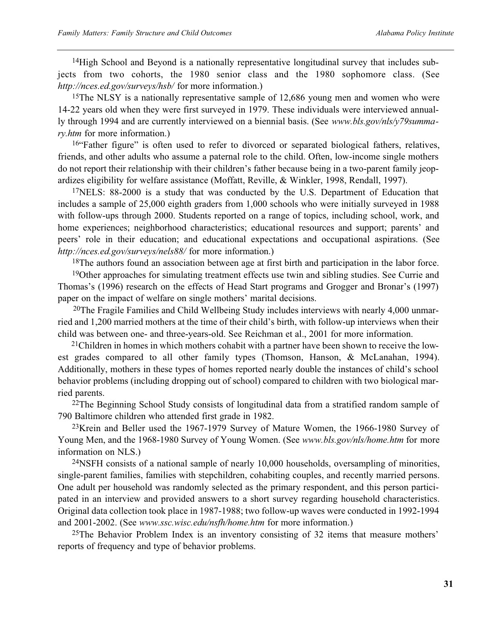14High School and Beyond is a nationally representative longitudinal survey that includes subjects from two cohorts, the 1980 senior class and the 1980 sophomore class. (See *http://nces.ed.gov/surveys/hsb/* for more information.)

<sup>15</sup>The NLSY is a nationally representative sample of 12,686 young men and women who were 14-22 years old when they were first surveyed in 1979. These individuals were interviewed annually through 1994 and are currently interviewed on a biennial basis. (See *www.bls.gov/nls/y79summary.htm* for more information.)

16"Father figure" is often used to refer to divorced or separated biological fathers, relatives, friends, and other adults who assume a paternal role to the child. Often, low-income single mothers do not report their relationship with their children's father because being in a two-parent family jeopardizes eligibility for welfare assistance (Moffatt, Reville, & Winkler, 1998, Rendall, 1997).

<sup>17</sup>NELS: 88-2000 is a study that was conducted by the U.S. Department of Education that includes a sample of 25,000 eighth graders from 1,000 schools who were initially surveyed in 1988 with follow-ups through 2000. Students reported on a range of topics, including school, work, and home experiences; neighborhood characteristics; educational resources and support; parents' and peers' role in their education; and educational expectations and occupational aspirations. (See *http://nces.ed.gov/surveys/nels88/* for more information.)

<sup>18</sup>The authors found an association between age at first birth and participation in the labor force. <sup>19</sup>Other approaches for simulating treatment effects use twin and sibling studies. See Currie and Thomas's (1996) research on the effects of Head Start programs and Grogger and Bronar's (1997) paper on the impact of welfare on single mothers' marital decisions.

20The Fragile Families and Child Wellbeing Study includes interviews with nearly 4,000 unmarried and 1,200 married mothers at the time of their child's birth, with follow-up interviews when their child was between one- and three-years-old. See Reichman et al., 2001 for more information.

21Children in homes in which mothers cohabit with a partner have been shown to receive the lowest grades compared to all other family types (Thomson, Hanson, & McLanahan, 1994). Additionally, mothers in these types of homes reported nearly double the instances of child's school behavior problems (including dropping out of school) compared to children with two biological married parents.

<sup>22</sup>The Beginning School Study consists of longitudinal data from a stratified random sample of 790 Baltimore children who attended first grade in 1982.

23Krein and Beller used the 1967-1979 Survey of Mature Women, the 1966-1980 Survey of Young Men, and the 1968-1980 Survey of Young Women. (See *www.bls.gov/nls/home.htm* for more information on NLS.)

 $24$ NSFH consists of a national sample of nearly 10,000 households, oversampling of minorities, single-parent families, families with stepchildren, cohabiting couples, and recently married persons. One adult per household was randomly selected as the primary respondent, and this person participated in an interview and provided answers to a short survey regarding household characteristics. Original data collection took place in 1987-1988; two follow-up waves were conducted in 1992-1994 and 2001-2002. (See *www.ssc.wisc.edu/nsfh/home.htm* for more information.)

<sup>25</sup>The Behavior Problem Index is an inventory consisting of 32 items that measure mothers' reports of frequency and type of behavior problems.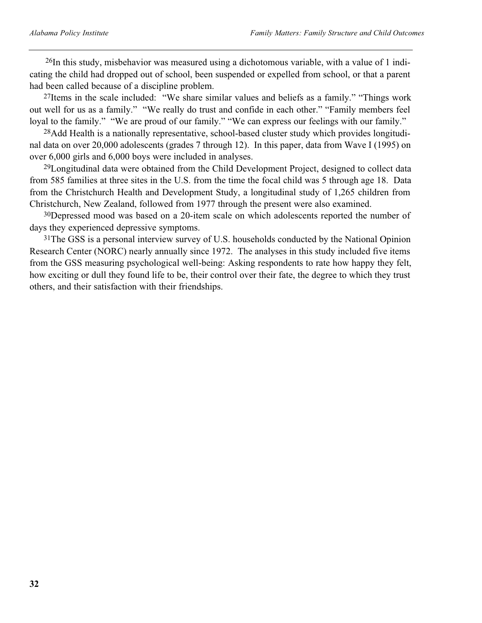$^{26}$ In this study, misbehavior was measured using a dichotomous variable, with a value of 1 indicating the child had dropped out of school, been suspended or expelled from school, or that a parent had been called because of a discipline problem.

<sup>27</sup>Items in the scale included: "We share similar values and beliefs as a family." "Things work out well for us as a family." "We really do trust and confide in each other." "Family members feel loyal to the family." "We are proud of our family." "We can express our feelings with our family."

28Add Health is a nationally representative, school-based cluster study which provides longitudinal data on over 20,000 adolescents (grades 7 through 12). In this paper, data from Wave I (1995) on over 6,000 girls and 6,000 boys were included in analyses.

29Longitudinal data were obtained from the Child Development Project, designed to collect data from 585 families at three sites in the U.S. from the time the focal child was 5 through age 18. Data from the Christchurch Health and Development Study, a longitudinal study of 1,265 children from Christchurch, New Zealand, followed from 1977 through the present were also examined.

30Depressed mood was based on a 20-item scale on which adolescents reported the number of days they experienced depressive symptoms.

<sup>31</sup>The GSS is a personal interview survey of U.S. households conducted by the National Opinion Research Center (NORC) nearly annually since 1972. The analyses in this study included five items from the GSS measuring psychological well-being: Asking respondents to rate how happy they felt, how exciting or dull they found life to be, their control over their fate, the degree to which they trust others, and their satisfaction with their friendships.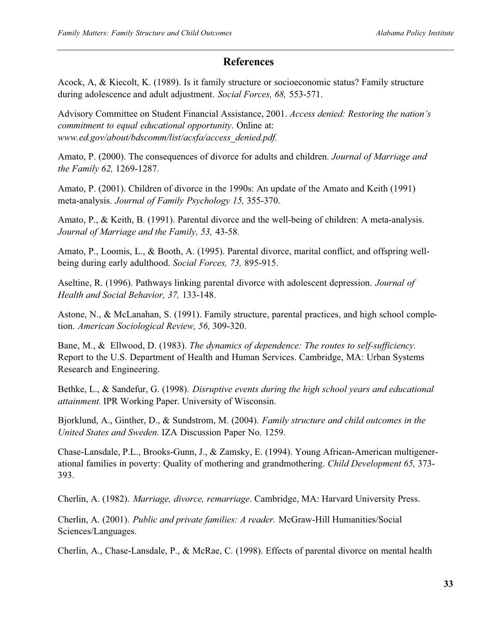### **References**

Acock, A, & Kiecolt, K. (1989). Is it family structure or socioeconomic status? Family structure during adolescence and adult adjustment. *Social Forces, 68,* 553-571.

Advisory Committee on Student Financial Assistance, 2001. *Access denied: Restoring the nation's commitment to equal educational opportunity*. Online at: *www.ed.gov/about/bdscomm/list/acsfa/access\_denied.pdf.*

Amato, P. (2000). The consequences of divorce for adults and children. *Journal of Marriage and the Family 62,* 1269-1287.

Amato, P. (2001). Children of divorce in the 1990s: An update of the Amato and Keith (1991) meta-analysis. *Journal of Family Psychology 15,* 355-370.

Amato, P., & Keith, B. (1991). Parental divorce and the well-being of children: A meta-analysis. *Journal of Marriage and the Family, 53,* 43-58.

Amato, P., Loomis, L., & Booth, A. (1995). Parental divorce, marital conflict, and offspring wellbeing during early adulthood. *Social Forces, 73,* 895-915.

Aseltine, R. (1996). Pathways linking parental divorce with adolescent depression. *Journal of Health and Social Behavior, 37,* 133-148.

Astone, N., & McLanahan, S. (1991). Family structure, parental practices, and high school completion. *American Sociological Review, 56,* 309-320.

Bane, M., & Ellwood, D. (1983). *The dynamics of dependence: The routes to self-sufficiency.* Report to the U.S. Department of Health and Human Services. Cambridge, MA: Urban Systems Research and Engineering.

Bethke, L., & Sandefur, G. (1998). *Disruptive events during the high school years and educational attainment.* IPR Working Paper. University of Wisconsin.

Bjorklund, A., Ginther, D., & Sundstrom, M. (2004). *Family structure and child outcomes in the United States and Sweden.* IZA Discussion Paper No. 1259.

Chase-Lansdale, P.L., Brooks-Gunn, J., & Zamsky, E. (1994). Young African-American multigenerational families in poverty: Quality of mothering and grandmothering. *Child Development 65,* 373- 393.

Cherlin, A. (1982). *Marriage, divorce, remarriage*. Cambridge, MA: Harvard University Press.

Cherlin, A. (2001). *Public and private families: A reader.* McGraw-Hill Humanities/Social Sciences/Languages.

Cherlin, A., Chase-Lansdale, P., & McRae, C. (1998). Effects of parental divorce on mental health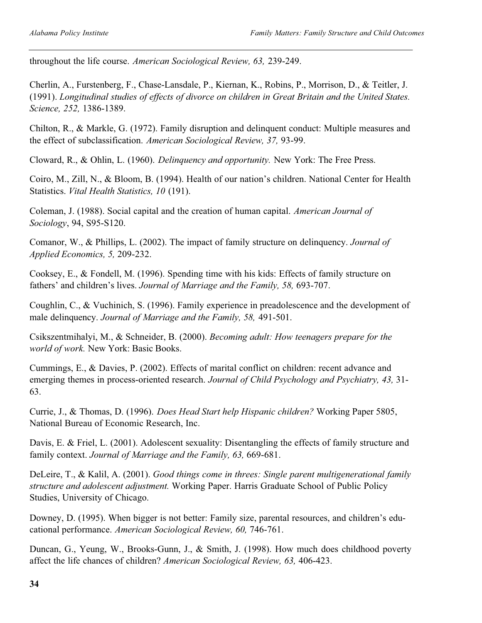throughout the life course. *American Sociological Review, 63,* 239-249.

Cherlin, A., Furstenberg, F., Chase-Lansdale, P., Kiernan, K., Robins, P., Morrison, D., & Teitler, J. (1991). *Longitudinal studies of effects of divorce on children in Great Britain and the United States. Science, 252,* 1386-1389.

Chilton, R., & Markle, G. (1972). Family disruption and delinquent conduct: Multiple measures and the effect of subclassification. *American Sociological Review, 37,* 93-99.

Cloward, R., & Ohlin, L. (1960). *Delinquency and opportunity.* New York: The Free Press.

Coiro, M., Zill, N., & Bloom, B. (1994). Health of our nation's children. National Center for Health Statistics. *Vital Health Statistics, 10* (191).

Coleman, J. (1988). Social capital and the creation of human capital. *American Journal of Sociology*, 94, S95-S120.

Comanor, W., & Phillips, L. (2002). The impact of family structure on delinquency. *Journal of Applied Economics, 5,* 209-232.

Cooksey, E., & Fondell, M. (1996). Spending time with his kids: Effects of family structure on fathers' and children's lives. *Journal of Marriage and the Family, 58,* 693-707.

Coughlin, C., & Vuchinich, S. (1996). Family experience in preadolescence and the development of male delinquency. *Journal of Marriage and the Family, 58,* 491-501.

Csikszentmihalyi, M., & Schneider, B. (2000). *Becoming adult: How teenagers prepare for the world of work.* New York: Basic Books.

Cummings, E., & Davies, P. (2002). Effects of marital conflict on children: recent advance and emerging themes in process-oriented research. *Journal of Child Psychology and Psychiatry, 43,* 31- 63.

Currie, J., & Thomas, D. (1996). *Does Head Start help Hispanic children?* Working Paper 5805, National Bureau of Economic Research, Inc.

Davis, E. & Friel, L. (2001). Adolescent sexuality: Disentangling the effects of family structure and family context. *Journal of Marriage and the Family, 63,* 669-681.

DeLeire, T., & Kalil, A. (2001). *Good things come in threes: Single parent multigenerational family structure and adolescent adjustment.* Working Paper. Harris Graduate School of Public Policy Studies, University of Chicago.

Downey, D. (1995). When bigger is not better: Family size, parental resources, and children's educational performance. *American Sociological Review, 60,* 746-761.

Duncan, G., Yeung, W., Brooks-Gunn, J., & Smith, J. (1998). How much does childhood poverty affect the life chances of children? *American Sociological Review, 63,* 406-423.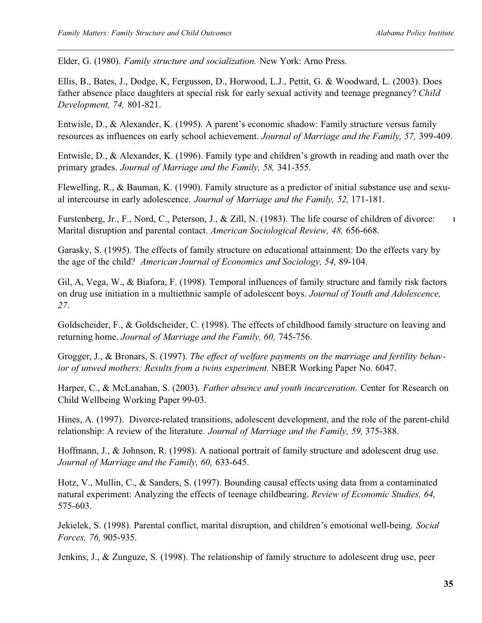$\mathbf{I}$ 

Elder, G. (1980). *Family structure and socialization.* New York: Arno Press.

Ellis, B., Bates, J., Dodge, K, Fergusson, D., Horwood, L.J., Pettit, G. & Woodward, L. (2003). Does father absence place daughters at special risk for early sexual activity and teenage pregnancy? *Child Development, 74,* 801-821.

Entwisle, D., & Alexander, K. (1995). A parent's economic shadow: Family structure versus family resources as influences on early school achievement. *Journal of Marriage and the Family, 57,* 399-409.

Entwisle, D., & Alexander, K. (1996). Family type and children's growth in reading and math over the primary grades. *Journal of Marriage and the Family, 58,* 341-355.

Flewelling, R., & Bauman, K. (1990). Family structure as a predictor of initial substance use and sexual intercourse in early adolescence. *Journal of Marriage and the Family, 52,* 171-181.

Furstenberg, Jr., F., Nord, C., Peterson, J., & Zill, N. (1983). The life course of children of divorce: Marital disruption and parental contact. *American Sociological Review, 48,* 656-668.

Garasky, S. (1995). The effects of family structure on educational attainment: Do the effects vary by the age of the child? *American Journal of Economics and Sociology, 54,* 89-104.

Gil, A, Vega, W., & Biafora, F. (1998). Temporal influences of family structure and family risk factors on drug use initiation in a multiethnic sample of adolescent boys. *Journal of Youth and Adolescence, 27*.

Goldscheider, F., & Goldscheider, C. (1998). The effects of childhood family structure on leaving and returning home. *Journal of Marriage and the Family, 60,* 745-756.

Grogger, J., & Bronars, S. (1997). *The effect of welfare payments on the marriage and fertility behavior of unwed mothers: Results from a twins experiment.* NBER Working Paper No. 6047.

Harper, C., & McLanahan, S. (2003). *Father absence and youth incarceration.* Center for Research on Child Wellbeing Working Paper 99-03.

Hines, A. (1997). Divorce-related transitions, adolescent development, and the role of the parent-child relationship: A review of the literature. *Journal of Marriage and the Family, 59,* 375-388.

Hoffmann, J., & Johnson, R. (1998). A national portrait of family structure and adolescent drug use. *Journal of Marriage and the Family, 60,* 633-645.

Hotz, V., Mullin, C., & Sanders, S. (1997). Bounding causal effects using data from a contaminated natural experiment: Analyzing the effects of teenage childbearing. *Review of Economic Studies, 64,* 575-603.

Jekielek, S. (1998). Parental conflict, marital disruption, and children's emotional well-being. *Social Forces, 76,* 905-935.

Jenkins, J., & Zunguze, S. (1998). The relationship of family structure to adolescent drug use, peer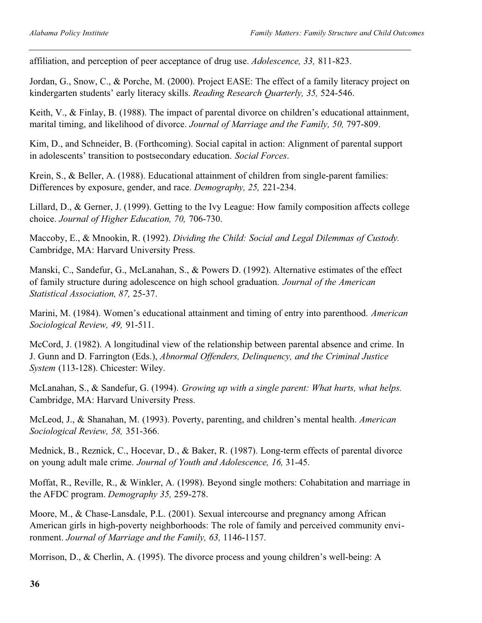affiliation, and perception of peer acceptance of drug use. *Adolescence, 33,* 811-823.

Jordan, G., Snow, C., & Porche, M. (2000). Project EASE: The effect of a family literacy project on kindergarten students' early literacy skills. *Reading Research Quarterly, 35,* 524-546.

Keith, V., & Finlay, B. (1988). The impact of parental divorce on children's educational attainment, marital timing, and likelihood of divorce. *Journal of Marriage and the Family, 50,* 797-809.

Kim, D., and Schneider, B. (Forthcoming). Social capital in action: Alignment of parental support in adolescents' transition to postsecondary education. *Social Forces*.

Krein, S., & Beller, A. (1988). Educational attainment of children from single-parent families: Differences by exposure, gender, and race. *Demography, 25,* 221-234.

Lillard, D., & Gerner, J. (1999). Getting to the Ivy League: How family composition affects college choice. *Journal of Higher Education, 70,* 706-730.

Maccoby, E., & Mnookin, R. (1992). *Dividing the Child: Social and Legal Dilemmas of Custody.* Cambridge, MA: Harvard University Press.

Manski, C., Sandefur, G., McLanahan, S., & Powers D. (1992). Alternative estimates of the effect of family structure during adolescence on high school graduation. *Journal of the American Statistical Association, 87,* 25-37.

Marini, M. (1984). Women's educational attainment and timing of entry into parenthood. *American Sociological Review, 49,* 91-511.

McCord, J. (1982). A longitudinal view of the relationship between parental absence and crime. In J. Gunn and D. Farrington (Eds.), *Abnormal Offenders, Delinquency, and the Criminal Justice System* (113-128). Chicester: Wiley.

McLanahan, S., & Sandefur, G. (1994). *Growing up with a single parent: What hurts, what helps.* Cambridge, MA: Harvard University Press.

McLeod, J., & Shanahan, M. (1993). Poverty, parenting, and children's mental health. *American Sociological Review, 58,* 351-366.

Mednick, B., Reznick, C., Hocevar, D., & Baker, R. (1987). Long-term effects of parental divorce on young adult male crime. *Journal of Youth and Adolescence, 16,* 31-45.

Moffat, R., Reville, R., & Winkler, A. (1998). Beyond single mothers: Cohabitation and marriage in the AFDC program. *Demography 35,* 259-278.

Moore, M., & Chase-Lansdale, P.L. (2001). Sexual intercourse and pregnancy among African American girls in high-poverty neighborhoods: The role of family and perceived community environment. *Journal of Marriage and the Family, 63,* 1146-1157.

Morrison, D., & Cherlin, A. (1995). The divorce process and young children's well-being: A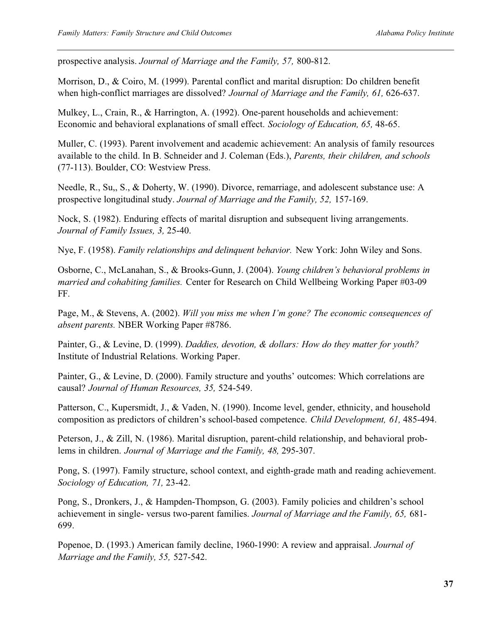prospective analysis. *Journal of Marriage and the Family, 57,* 800-812.

Morrison, D., & Coiro, M. (1999). Parental conflict and marital disruption: Do children benefit when high-conflict marriages are dissolved? *Journal of Marriage and the Family, 61,* 626-637.

Mulkey, L., Crain, R., & Harrington, A. (1992). One-parent households and achievement: Economic and behavioral explanations of small effect. *Sociology of Education, 65,* 48-65.

Muller, C. (1993). Parent involvement and academic achievement: An analysis of family resources available to the child. In B. Schneider and J. Coleman (Eds.), *Parents, their children, and schools* (77-113). Boulder, CO: Westview Press.

Needle, R., Su,, S., & Doherty, W. (1990). Divorce, remarriage, and adolescent substance use: A prospective longitudinal study. *Journal of Marriage and the Family, 52,* 157-169.

Nock, S. (1982). Enduring effects of marital disruption and subsequent living arrangements. *Journal of Family Issues, 3,* 25-40.

Nye, F. (1958). *Family relationships and delinquent behavior.* New York: John Wiley and Sons.

Osborne, C., McLanahan, S., & Brooks-Gunn, J. (2004). *Young children's behavioral problems in married and cohabiting families.* Center for Research on Child Wellbeing Working Paper #03-09 FF.

Page, M., & Stevens, A. (2002). *Will you miss me when I'm gone? The economic consequences of absent parents.* NBER Working Paper #8786.

Painter, G., & Levine, D. (1999). *Daddies, devotion, & dollars: How do they matter for youth?* Institute of Industrial Relations. Working Paper.

Painter, G., & Levine, D. (2000). Family structure and youths' outcomes: Which correlations are causal? *Journal of Human Resources, 35,* 524-549.

Patterson, C., Kupersmidt, J., & Vaden, N. (1990). Income level, gender, ethnicity, and household composition as predictors of children's school-based competence. *Child Development, 61,* 485-494.

Peterson, J., & Zill, N. (1986). Marital disruption, parent-child relationship, and behavioral problems in children. *Journal of Marriage and the Family, 48,* 295-307.

Pong, S. (1997). Family structure, school context, and eighth-grade math and reading achievement. *Sociology of Education, 71,* 23-42.

Pong, S., Dronkers, J., & Hampden-Thompson, G. (2003). Family policies and children's school achievement in single- versus two-parent families. *Journal of Marriage and the Family, 65,* 681- 699.

Popenoe, D. (1993.) American family decline, 1960-1990: A review and appraisal. *Journal of Marriage and the Family, 55,* 527-542.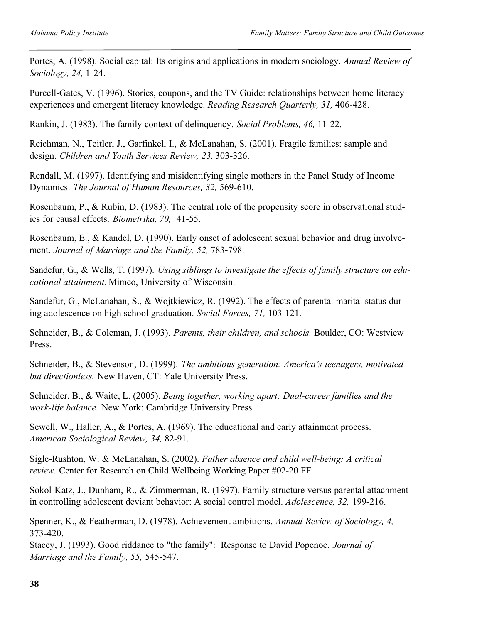Portes, A. (1998). Social capital: Its origins and applications in modern sociology. *Annual Review of Sociology, 24,* 1-24.

Purcell-Gates, V. (1996). Stories, coupons, and the TV Guide: relationships between home literacy experiences and emergent literacy knowledge. *Reading Research Quarterly, 31,* 406-428.

Rankin, J. (1983). The family context of delinquency. *Social Problems, 46,* 11-22.

Reichman, N., Teitler, J., Garfinkel, I., & McLanahan, S. (2001). Fragile families: sample and design. *Children and Youth Services Review, 23,* 303-326.

Rendall, M. (1997). Identifying and misidentifying single mothers in the Panel Study of Income Dynamics. *The Journal of Human Resources, 32,* 569-610.

Rosenbaum, P., & Rubin, D. (1983). The central role of the propensity score in observational studies for causal effects. *Biometrika, 70,* 41-55.

Rosenbaum, E., & Kandel, D. (1990). Early onset of adolescent sexual behavior and drug involvement. *Journal of Marriage and the Family, 52,* 783-798.

Sandefur, G., & Wells, T. (1997). *Using siblings to investigate the effects of family structure on educational attainment.* Mimeo, University of Wisconsin.

Sandefur, G., McLanahan, S., & Wojtkiewicz, R. (1992). The effects of parental marital status during adolescence on high school graduation. *Social Forces, 71,* 103-121.

Schneider, B., & Coleman, J. (1993). *Parents, their children, and schools.* Boulder, CO: Westview Press.

Schneider, B., & Stevenson, D. (1999). *The ambitious generation: America's teenagers, motivated but directionless.* New Haven, CT: Yale University Press.

Schneider, B., & Waite, L. (2005). *Being together, working apart: Dual-career families and the work-life balance.* New York: Cambridge University Press.

Sewell, W., Haller, A., & Portes, A. (1969). The educational and early attainment process. *American Sociological Review, 34,* 82-91.

Sigle-Rushton, W. & McLanahan, S. (2002). *Father absence and child well-being: A critical review.* Center for Research on Child Wellbeing Working Paper #02-20 FF.

Sokol-Katz, J., Dunham, R., & Zimmerman, R. (1997). Family structure versus parental attachment in controlling adolescent deviant behavior: A social control model. *Adolescence, 32,* 199-216.

Spenner, K., & Featherman, D. (1978). Achievement ambitions. *Annual Review of Sociology, 4,* 373-420.

Stacey, J. (1993). Good riddance to "the family": Response to David Popenoe. *Journal of Marriage and the Family, 55,* 545-547.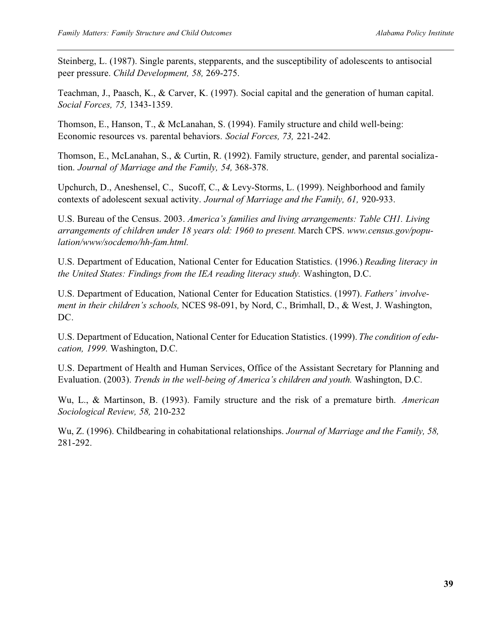Steinberg, L. (1987). Single parents, stepparents, and the susceptibility of adolescents to antisocial peer pressure. *Child Development, 58,* 269-275.

Teachman, J., Paasch, K., & Carver, K. (1997). Social capital and the generation of human capital. *Social Forces, 75,* 1343-1359.

Thomson, E., Hanson, T., & McLanahan, S. (1994). Family structure and child well-being: Economic resources vs. parental behaviors. *Social Forces, 73,* 221-242.

Thomson, E., McLanahan, S., & Curtin, R. (1992). Family structure, gender, and parental socialization. *Journal of Marriage and the Family, 54,* 368-378.

Upchurch, D., Aneshensel, C., Sucoff, C., & Levy-Storms, L. (1999). Neighborhood and family contexts of adolescent sexual activity. *Journal of Marriage and the Family, 61,* 920-933.

U.S. Bureau of the Census. 2003. *America's families and living arrangements: Table CH1. Living arrangements of children under 18 years old: 1960 to present.* March CPS. *www.census.gov/population/www/socdemo/hh-fam.html.*

U.S. Department of Education, National Center for Education Statistics. (1996.) *Reading literacy in the United States: Findings from the IEA reading literacy study.* Washington, D.C.

U.S. Department of Education, National Center for Education Statistics. (1997). *Fathers' involvement in their children's schools,* NCES 98-091, by Nord, C., Brimhall, D., & West, J. Washington, DC.

U.S. Department of Education, National Center for Education Statistics. (1999). *The condition of education, 1999.* Washington, D.C.

U.S. Department of Health and Human Services, Office of the Assistant Secretary for Planning and Evaluation. (2003). *Trends in the well-being of America's children and youth.* Washington, D.C.

Wu, L., & Martinson, B. (1993). Family structure and the risk of a premature birth. *American Sociological Review, 58,* 210-232

Wu, Z. (1996). Childbearing in cohabitational relationships. *Journal of Marriage and the Family, 58,* 281-292.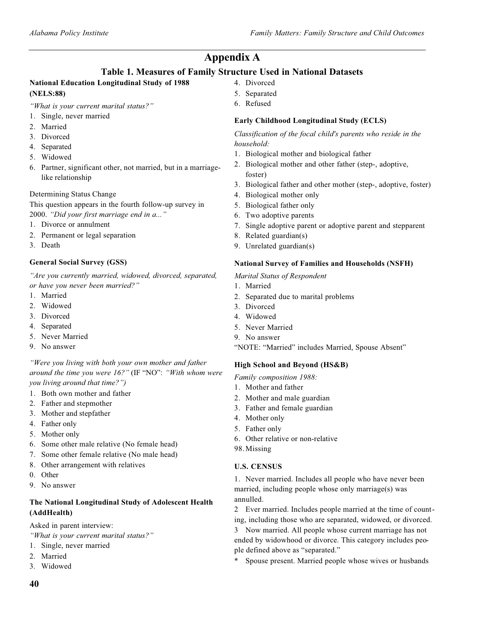### **Appendix A**

### **Table 1. Measures of Family Structure Used in National Datasets**

### **National Education Longitudinal Study of 1988 (NELS:88)**

*"What is your current marital status?"*

- 1. Single, never married
- 2. Married
- 3. Divorced
- 4. Separated
- 5. Widowed
- 6. Partner, significant other, not married, but in a marriagelike relationship

### Determining Status Change

This question appears in the fourth follow-up survey in 2000. *"Did your first marriage end in a..."*

- 1. Divorce or annulment
- 2. Permanent or legal separation
- 3. Death

### **General Social Survey (GSS)**

*"Are you currently married, widowed, divorced, separated, or have you never been married?"*

- 1. Married
- 2. Widowed
- 3. Divorced
- 4. Separated
- 5. Never Married
- 9. No answer

*"Were you living with both your own mother and father around the time you were 16?"* (IF "NO": *"With whom were you living around that time?")*

- 1. Both own mother and father
- 2. Father and stepmother
- 3. Mother and stepfather
- 4. Father only
- 5. Mother only
- 6. Some other male relative (No female head)
- 7. Some other female relative (No male head)
- 8. Other arrangement with relatives
- 0. Other
- 9. No answer

### **The National Longitudinal Study of Adolescent Health (AddHealth)**

Asked in parent interview:

- *"What is your current marital status?"*
- 1. Single, never married
- 2. Married
- 3. Widowed
- 4. Divorced
- 5. Separated
- 6. Refused

### **Early Childhood Longitudinal Study (ECLS)**

*Classification of the focal child's parents who reside in the household:*

- 1. Biological mother and biological father
- 2. Biological mother and other father (step-, adoptive, foster)
- 3. Biological father and other mother (step-, adoptive, foster)
- 4. Biological mother only
- 5. Biological father only
- 6. Two adoptive parents
- 7. Single adoptive parent or adoptive parent and stepparent
- 8. Related guardian(s)
- 9. Unrelated guardian(s)

### **National Survey of Families and Households (NSFH)**

*Marital Status of Respondent*

- 1. Married
- 2. Separated due to marital problems
- 3. Divorced
- 4. Widowed
- 5. Never Married
- 9. No answer

"NOTE: "Married" includes Married, Spouse Absent"

### **High School and Beyond (HS&B)**

*Family composition 1988:*

- 1. Mother and father
- 2. Mother and male guardian
- 3. Father and female guardian
- 4. Mother only
- 5. Father only
- 6. Other relative or non-relative
- 98.Missing

### **U.S. CENSUS**

1. Never married. Includes all people who have never been married, including people whose only marriage(s) was annulled.

2 Ever married. Includes people married at the time of counting, including those who are separated, widowed, or divorced.

3 Now married. All people whose current marriage has not ended by widowhood or divorce. This category includes people defined above as "separated."

Spouse present. Married people whose wives or husbands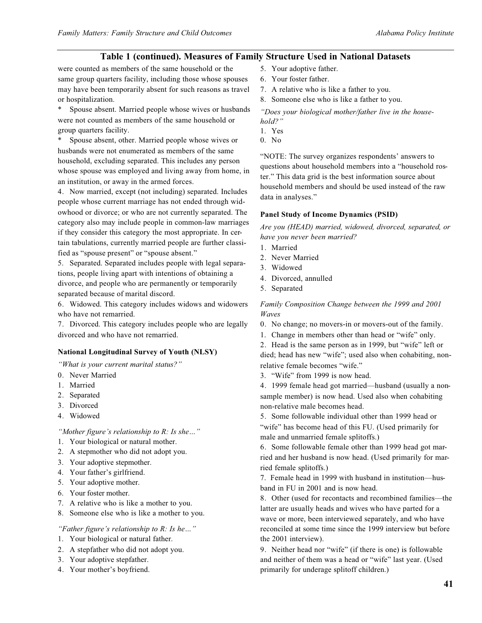### **Table 1 (continued). Measures of Family Structure Used in National Datasets**

were counted as members of the same household or the same group quarters facility, including those whose spouses may have been temporarily absent for such reasons as travel or hospitalization.

Spouse absent. Married people whose wives or husbands were not counted as members of the same household or group quarters facility.

Spouse absent, other. Married people whose wives or husbands were not enumerated as members of the same household, excluding separated. This includes any person whose spouse was employed and living away from home, in an institution, or away in the armed forces.

4. Now married, except (not including) separated. Includes people whose current marriage has not ended through widowhood or divorce; or who are not currently separated. The category also may include people in common-law marriages if they consider this category the most appropriate. In certain tabulations, currently married people are further classified as "spouse present" or "spouse absent."

5. Separated. Separated includes people with legal separations, people living apart with intentions of obtaining a divorce, and people who are permanently or temporarily separated because of marital discord.

6. Widowed. This category includes widows and widowers who have not remarried.

7. Divorced. This category includes people who are legally divorced and who have not remarried.

#### **National Longitudinal Survey of Youth (NLSY)**

*"What is your current marital status?"*

- 0. Never Married
- 1. Married
- 2. Separated
- 3. Divorced
- 4. Widowed

*"Mother figure's relationship to R: Is she…"*

- 1. Your biological or natural mother.
- 2. A stepmother who did not adopt you.
- 3. Your adoptive stepmother.
- 4. Your father's girlfriend.
- 5. Your adoptive mother.
- 6. Your foster mother.
- 7. A relative who is like a mother to you.
- 8. Someone else who is like a mother to you.

#### *"Father figure's relationship to R: Is he…"*

- 1. Your biological or natural father.
- 2. A stepfather who did not adopt you.
- 3. Your adoptive stepfather.
- 4. Your mother's boyfriend.
- 5. Your adoptive father.
- 6. Your foster father.
- 7. A relative who is like a father to you.
- 8. Someone else who is like a father to you.

*"Does your biological mother/father live in the household?"*

- 1. Yes
- 0. No

"NOTE: The survey organizes respondents' answers to questions about household members into a "household roster." This data grid is the best information source about household members and should be used instead of the raw data in analyses."

#### **Panel Study of Income Dynamics (PSID)**

*Are you (HEAD) married, widowed, divorced, separated, or have you never been married?*

- 1. Married
- 2. Never Married
- 3. Widowed
- 4. Divorced, annulled
- 5. Separated

*Family Composition Change between the 1999 and 2001 Waves*

- 0. No change; no movers-in or movers-out of the family.
- 1. Change in members other than head or "wife" only.

2. Head is the same person as in 1999, but "wife" left or died; head has new "wife"; used also when cohabiting, nonrelative female becomes "wife."

3. "Wife" from 1999 is now head.

4. 1999 female head got married—husband (usually a nonsample member) is now head. Used also when cohabiting non-relative male becomes head.

5. Some followable individual other than 1999 head or "wife" has become head of this FU. (Used primarily for male and unmarried female splitoffs.)

6. Some followable female other than 1999 head got married and her husband is now head. (Used primarily for married female splitoffs.)

7. Female head in 1999 with husband in institution—husband in FU in 2001 and is now head.

8. Other (used for recontacts and recombined families—the latter are usually heads and wives who have parted for a wave or more, been interviewed separately, and who have reconciled at some time since the 1999 interview but before the 2001 interview).

9. Neither head nor "wife" (if there is one) is followable and neither of them was a head or "wife" last year. (Used primarily for underage splitoff children.)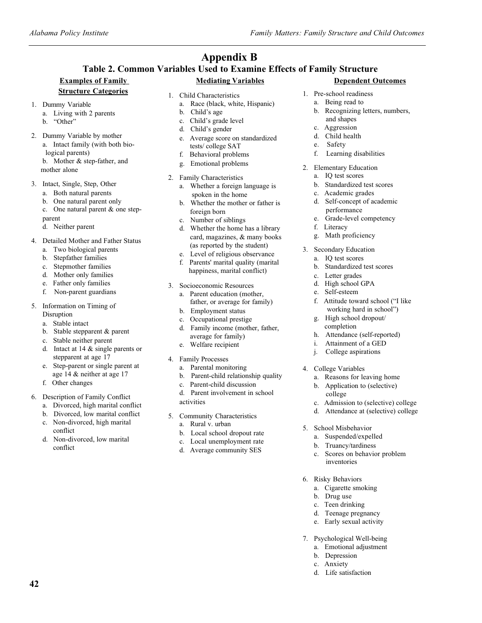#### **Table 2. Common Variables Used to Examine Effects of Family Structure Examples of Family Mediating Variables Appendix B**

### **Structure Categories**

- 
- 1. Dummy Variable a. Living with 2 parents
	- b. "Other"
- 2. Dummy Variable by mother a. Intact family (with both bio
	- logical parents) b. Mother & step-father, and
	- mother alone

### 3. Intact, Single, Step, Other

- a. Both natural parents
- b. One natural parent only
- c. One natural parent & one step-
- parent
- d. Neither parent
- 4. Detailed Mother and Father Status
	- a. Two biological parents
	- b. Stepfather families
	- c. Stepmother families
	- d. Mother only families
	- e. Father only families
	- f. Non-parent guardians
- 5. Information on Timing of Disruption
	- a. Stable intact
	- b. Stable stepparent & parent
	- c. Stable neither parent
	- d. Intact at 14 & single parents or stepparent at age 17
	- e. Step-parent or single parent at age 14 & neither at age 17
	- f. Other changes

**42**

- 6. Description of Family Conflict
	- a. Divorced, high marital conflict
	- b. Divorced, low marital conflict c. Non-divorced, high marital
	- conflict
	- d. Non-divorced, low marital conflict
- 1. Child Characteristics
	- a. Race (black, white, Hispanic)
	- b. Child's age
	- c. Child's grade level
	- d. Child's gender
	- e. Average score on standardized tests/ college SAT
	- f. Behavioral problems g. Emotional problems
- 2. Family Characteristics
	- a. Whether a foreign language is spoken in the home
	- b. Whether the mother or father is
	- foreign born c. Number of siblings
	- Whether the home has a library card, magazines, & many books (as reported by the student)
	- e. Level of religious observance
	- f. Parents' marital quality (marital happiness, marital conflict)
- 3. Socioeconomic Resources
	- a. Parent education (mother, father, or average for family)
	- b. Employment status
	- c. Occupational prestige
	- d. Family income (mother, father, average for family)
	- e. Welfare recipient
- 4. Family Processes
	- a. Parental monitoring
	- b. Parent-child relationship quality
	- c. Parent-child discussion
	- d. Parent involvement in school activities
- 5. Community Characteristics
	- a. Rural v. urban
	- b. Local school dropout rate
	- c. Local unemployment rate
	- d. Average community SES
- **Dependent Outcomes**
- 1. Pre-school readiness
	- a. Being read to
	- b. Recognizing letters, numbers, and shapes
	- c. Aggression
	- d. Child health
	- e. Safety
	- f. Learning disabilities
- 2. Elementary Education
	- a. IQ test scores
	- b. Standardized test scores
	- c. Academic grades
	- d. Self-concept of academic performance
	- e. Grade-level competency
	- f. Literacy
	- g. Math proficiency
- 3. Secondary Education
	- a. IQ test scores
	- b. Standardized test scores
	- c. Letter grades
	- d. High school GPA
	- e. Self-esteem
	- f. Attitude toward school ("I like working hard in school")
	- g. High school dropout/ completion
	- h. Attendance (self-reported)
	- i. Attainment of a GED
	- j. College aspirations
- 4. College Variables
	- a. Reasons for leaving home
	- b. Application to (selective) college
	- c. Admission to (selective) college
	- d. Attendance at (selective) college

c. Scores on behavior problem

- 5. School Misbehavior
	- a. Suspended/expelled b. Truancy/tardiness

inventories

7. Psychological Well-being a. Emotional adjustment

> b. Depression c. Anxiety d. Life satisfaction

6. Risky Behaviors a. Cigarette smoking b. Drug use c. Teen drinking d. Teenage pregnancy e. Early sexual activity